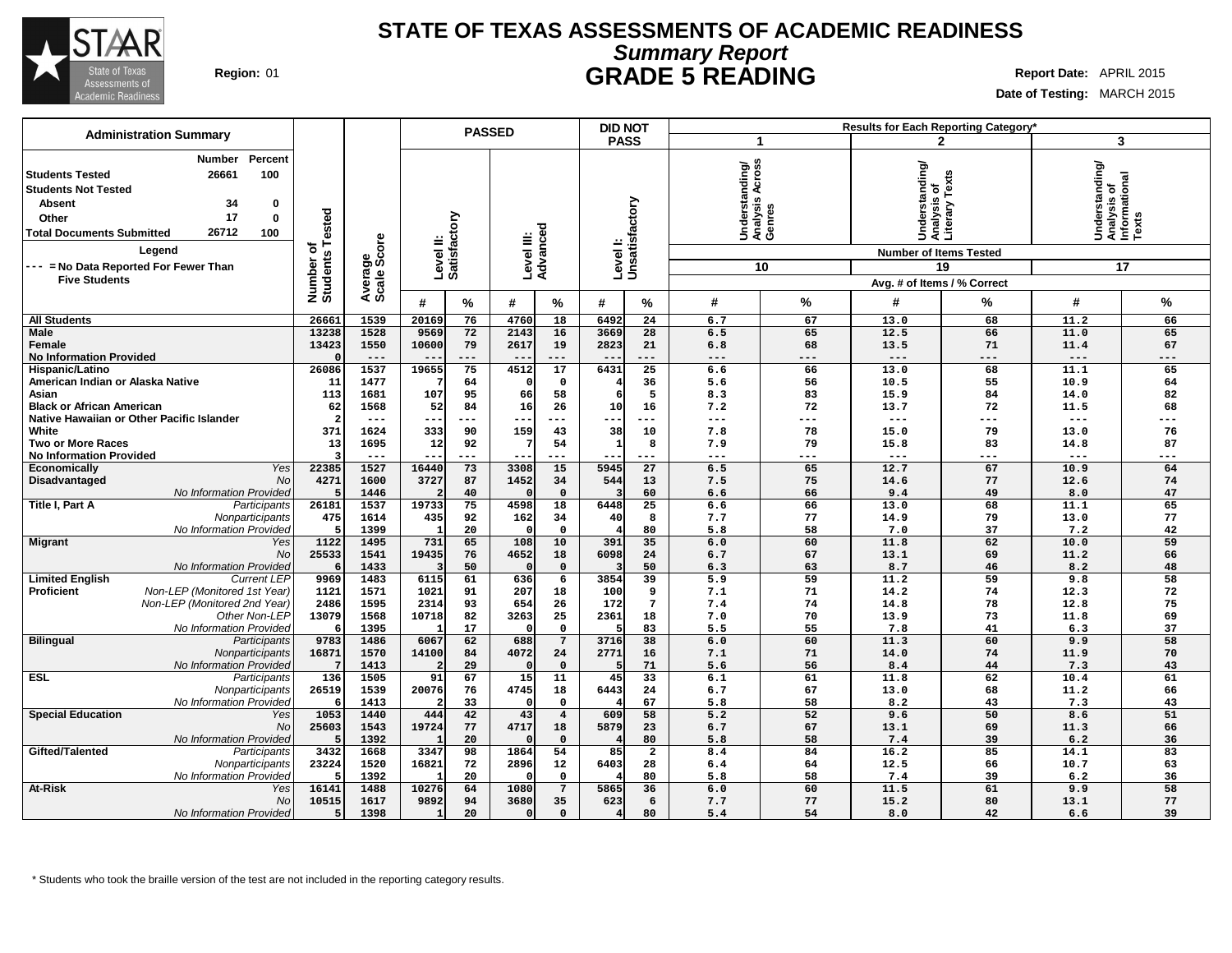

## **STATE OF TEXAS ASSESSMENTS OF ACADEMIC READINESS Summary Report Region:** 01 **GRADE 5 READING Report Date:** APRIL 2015

**Date of Testing:** MARCH 2015

|                                                                                                                                                                                                      |                      |                        |                           |           | <b>PASSED</b>          |                   | <b>DID NOT</b> |                 |                                                    |             |                                                 | Results for Each Reporting Category* |                                                         |           |
|------------------------------------------------------------------------------------------------------------------------------------------------------------------------------------------------------|----------------------|------------------------|---------------------------|-----------|------------------------|-------------------|----------------|-----------------|----------------------------------------------------|-------------|-------------------------------------------------|--------------------------------------|---------------------------------------------------------|-----------|
| <b>Administration Summary</b>                                                                                                                                                                        |                      |                        |                           |           |                        |                   | <b>PASS</b>    |                 | $\mathbf{1}$                                       |             |                                                 | $\mathbf{2}$                         | 3                                                       |           |
| Percent<br><b>Number</b><br>26661<br>100<br><b>Students Tested</b><br><b>Students Not Tested</b><br><b>Absent</b><br>34<br>0<br>17<br>Other<br>0<br>26712<br>100<br><b>Total Documents Submitted</b> | Tested               | Average<br>Scale Score | Level II:<br>Satisfactory |           | Level III:<br>Advanced |                   |                | Unsatisfactory  | ပ္တ<br>Understanding/<br>Analysis Across<br>Genres |             | Understanding/<br>Analysis of<br>Literary Texts |                                      | Understanding/<br>Analysis of<br>Informational<br>Texts |           |
| Legend                                                                                                                                                                                               | ৳                    |                        |                           |           |                        |                   | Level I:       |                 |                                                    |             | <b>Number of Items Tested</b>                   |                                      |                                                         |           |
| --- = No Data Reported For Fewer Than                                                                                                                                                                | Number o<br>Students |                        |                           |           |                        |                   |                |                 |                                                    | 10          |                                                 | 19                                   | 17                                                      |           |
| <b>Five Students</b>                                                                                                                                                                                 |                      |                        |                           |           |                        |                   |                |                 |                                                    |             | Avg. # of Items / % Correct                     |                                      |                                                         |           |
|                                                                                                                                                                                                      |                      |                        | #                         | $\%$      | #                      | %                 | #              | %               | #                                                  | %           | #                                               | %                                    | #                                                       | %         |
| <b>All Students</b>                                                                                                                                                                                  | 26661                | 1539                   | 20169                     | 76        | 4760                   | 18                | 6492           | 24              | 6.7                                                | 67          | 13.0                                            | 68                                   | 11.2                                                    | 66        |
| <b>Male</b>                                                                                                                                                                                          | 13238                | 1528                   | 9569                      | 72        | 2143                   | 16                | 3669           | 28              | 6.5                                                | 65          | 12.5                                            | 66                                   | 11.0                                                    | 65        |
| Female<br><b>No Information Provided</b>                                                                                                                                                             | 13423                | 1550<br>$---$          | 10600<br>$- -$            | 79<br>--- | 2617<br>$-$            | 19<br>$---$       | 2823<br>$- -$  | 21<br>---       | 6.8<br>$---$                                       | 68<br>$---$ | 13.5<br>$---$                                   | 71<br>$---$                          | 11.4<br>$---$                                           | 67<br>--- |
| Hispanic/Latino                                                                                                                                                                                      | 26086                | 1537                   | 19655                     | 75        | 4512                   | 17                | 6431           | $\overline{25}$ | 6.6                                                | 66          | 13.0                                            | 68                                   | 11.1                                                    | 65        |
| American Indian or Alaska Native                                                                                                                                                                     | 11                   | 1477                   |                           | 64        |                        | $\mathbf 0$       |                | 36              | 5.6                                                | 56          | 10.5                                            | 55                                   | 10.9                                                    | 64        |
| Asian                                                                                                                                                                                                | 113                  | 1681                   | 107                       | 95        | 66                     | 58                | 6              | 5               | 8.3                                                | 83          | 15.9                                            | 84                                   | 14.0                                                    | 82        |
| <b>Black or African American</b>                                                                                                                                                                     | 62                   | 1568                   | 52                        | 84        | 16                     | 26                | 10             | 16              | 7.2                                                | 72          | 13.7                                            | 72                                   | 11.5                                                    | 68        |
| Native Hawaiian or Other Pacific Islander                                                                                                                                                            |                      | $--$                   | $\overline{\phantom{m}}$  | ---       | $- -$                  | $---$             | $---$          | $---$           | $---$                                              | $---$       | $\qquad \qquad - -$                             | $---$                                | $---$                                                   | ---       |
| White                                                                                                                                                                                                | 371<br>13            | 1624<br>1695           | 333                       | 90<br>92  | 159                    | 43<br>54          | 38             | 10<br>8         | 7.8<br>7.9                                         | 78<br>79    | 15.0<br>15.8                                    | 79<br>83                             | 13.0                                                    | 76<br>87  |
| <b>Two or More Races</b><br><b>No Information Provided</b>                                                                                                                                           |                      | $- - -$                | 12                        | ---       |                        | ---               | 1              | ---             | $--$                                               | ---         | $---$                                           | $--$                                 | 14.8<br>---                                             | ---       |
| Yes<br><b>Economically</b>                                                                                                                                                                           | 22385                | 1527                   | 16440                     | 73        | 3308                   | 15                | 5945           | 27              | 6.5                                                | 65          | 12.7                                            | 67                                   | 10.9                                                    | 64        |
| Disadvantaged<br><b>No</b>                                                                                                                                                                           | 4271                 | 1600                   | 3727                      | 87        | 1452                   | 34                | 544            | 13              | 7.5                                                | 75          | 14.6                                            | 77                                   | 12.6                                                    | 74        |
| No Information Provided                                                                                                                                                                              |                      | 1446                   |                           | 40        |                        | $\mathbf{0}$      |                | 60              | 6.6                                                | 66          | 9.4                                             | 49                                   | 8.0                                                     | 47        |
| Title I, Part A<br>Participants                                                                                                                                                                      | 26181                | 1537                   | 19733                     | 75        | 4598                   | 18                | 6448           | 25              | 6.6                                                | 66          | 13.0                                            | 68                                   | 11.1                                                    | 65        |
| Nonparticipants<br>No Information Provided                                                                                                                                                           | 475                  | 1614<br>1399           | 435                       | 92<br>20  | 162                    | 34<br>$\mathbf 0$ | 40             | 8<br>80         | 7.7<br>5.8                                         | 77<br>58    | 14.9<br>7.0                                     | 79<br>37                             | 13.0<br>7.2                                             | 77<br>42  |
| <b>Migrant</b><br>Yes                                                                                                                                                                                | 1122                 | 1495                   | 731                       | 65        | 108                    | 10                | 391            | 35              | 6.0                                                | 60          | 11.8                                            | 62                                   | 10.0                                                    | 59        |
| No                                                                                                                                                                                                   | 25533                | 1541                   | 19435                     | 76        | 4652                   | 18                | 6098           | 24              | 6.7                                                | 67          | 13.1                                            | 69                                   | 11.2                                                    | 66        |
| No Information Provided                                                                                                                                                                              |                      | 1433                   |                           | 50        | n                      | $\mathbf 0$       |                | 50              | 6.3                                                | 63          | 8.7                                             | 46                                   | 8.2                                                     | 48        |
| <b>Limited English</b><br><b>Current LEP</b>                                                                                                                                                         | 9969                 | 1483                   | 6115                      | 61        | 636                    | $\overline{6}$    | 3854           | 39              | 5.9                                                | 59          | 11.2                                            | 59                                   | 9.8                                                     | 58        |
| <b>Proficient</b><br>Non-LEP (Monitored 1st Year)                                                                                                                                                    | 1121                 | 1571                   | 1021                      | 91        | 207                    | 18                | 100            | 9               | 7.1                                                | 71          | 14.2                                            | 74                                   | 12.3                                                    | 72        |
| Non-LEP (Monitored 2nd Year)                                                                                                                                                                         | 2486                 | 1595                   | 2314                      | 93        | 654                    | 26                | 172            | $\overline{7}$  | 7.4                                                | 74          | 14.8                                            | 78                                   | 12.8                                                    | 75        |
| Other Non-LEP<br>No Information Provided                                                                                                                                                             | 13079                | 1568<br>1395           | 10718                     | 82<br>17  | 3263                   | 25<br>$\mathbf 0$ | 2361           | 18<br>83        | 7.0<br>5.5                                         | 70<br>55    | 13.9<br>7.8                                     | 73<br>41                             | 11.8<br>6.3                                             | 69<br>37  |
| <b>Bilingual</b><br>Participants                                                                                                                                                                     | 9783                 | 1486                   | 6067                      | 62        | 688                    | $\overline{7}$    | 3716           | 38              | 6.0                                                | 60          | 11.3                                            | 60                                   | 9.9                                                     | 58        |
| Nonparticipants                                                                                                                                                                                      | 16871                | 1570                   | 14100                     | 84        | 4072                   | 24                | 2771           | 16              | 7.1                                                | 71          | 14.0                                            | 74                                   | 11.9                                                    | 70        |
| No Information Provided                                                                                                                                                                              |                      | 1413                   |                           | 29        |                        | $\Omega$          | 5              | 71              | 5.6                                                | 56          | 8.4                                             | 44                                   | 7.3                                                     | 43        |
| <b>ESL</b><br>Participants                                                                                                                                                                           | 136                  | 1505                   | 91                        | 67        | 15                     | 11                | 45             | $\overline{33}$ | 6.1                                                | 61          | 11.8                                            | 62                                   | 10.4                                                    | 61        |
| Nonparticipants<br>No Information Provided                                                                                                                                                           | 26519                | 1539                   | 20076                     | 76<br>33  | 4745                   | 18<br>$\Omega$    | 6443           | 24<br>67        | 6.7<br>5.8                                         | 67<br>58    | 13.0<br>8.2                                     | 68                                   | 11.2<br>7.3                                             | 66<br>43  |
| <b>Special Education</b><br>Yes                                                                                                                                                                      | 1053                 | 1413<br>1440           | 444                       | 42        | 43                     | $\bf{4}$          | 609            | 58              | 5.2                                                | 52          | 9.6                                             | 43<br>50                             | 8.6                                                     | 51        |
| No                                                                                                                                                                                                   | 25603                | 1543                   | 19724                     | 77        | 4717                   | 18                | 5879           | 23              | 6.7                                                | 67          | 13.1                                            | 69                                   | 11.3                                                    | 66        |
| No Information Provided                                                                                                                                                                              |                      | 1392                   |                           | 20        |                        | $\Omega$          |                | 80              | 5.8                                                | 58          | 7.4                                             | 39                                   | 6.2                                                     | 36        |
| Gifted/Talented<br>Participants                                                                                                                                                                      | 3432                 | 1668                   | 3347                      | 98        | 1864                   | 54                | 85             | $\overline{a}$  | 8.4                                                | 84          | 16.2                                            | 85                                   | 14.1                                                    | 83        |
| Nonparticipants                                                                                                                                                                                      | 23224                | 1520                   | 16821                     | 72        | 2896                   | 12                | 6403           | 28              | 6.4                                                | 64          | 12.5                                            | 66                                   | 10.7                                                    | 63        |
| No Information Provided                                                                                                                                                                              |                      | 1392                   |                           | 20        |                        | 0                 |                | 80              | 5.8                                                | 58          | 7.4                                             | 39                                   | 6.2                                                     | 36        |
| At-Risk<br>Yes<br><b>No</b>                                                                                                                                                                          | 16141                | 1488                   | 10276                     | 64        | 1080                   | $7\overline{ }$   | 5865           | 36              | 6.0                                                | 60          | 11.5                                            | 61                                   | 9.9                                                     | 58        |
| No Information Provided                                                                                                                                                                              | 10515                | 1617<br>1398           | 9892                      | 94<br>20  | 3680<br>$\Omega$       | 35<br>$\mathbf 0$ | 623<br>4       | 6<br>80         | 7.7<br>5.4                                         | 77<br>54    | 15.2<br>8.0                                     | 80<br>42                             | 13.1<br>6.6                                             | 77<br>39  |
|                                                                                                                                                                                                      |                      |                        |                           |           |                        |                   |                |                 |                                                    |             |                                                 |                                      |                                                         |           |

\* Students who took the braille version of the test are not included in the reporting category results.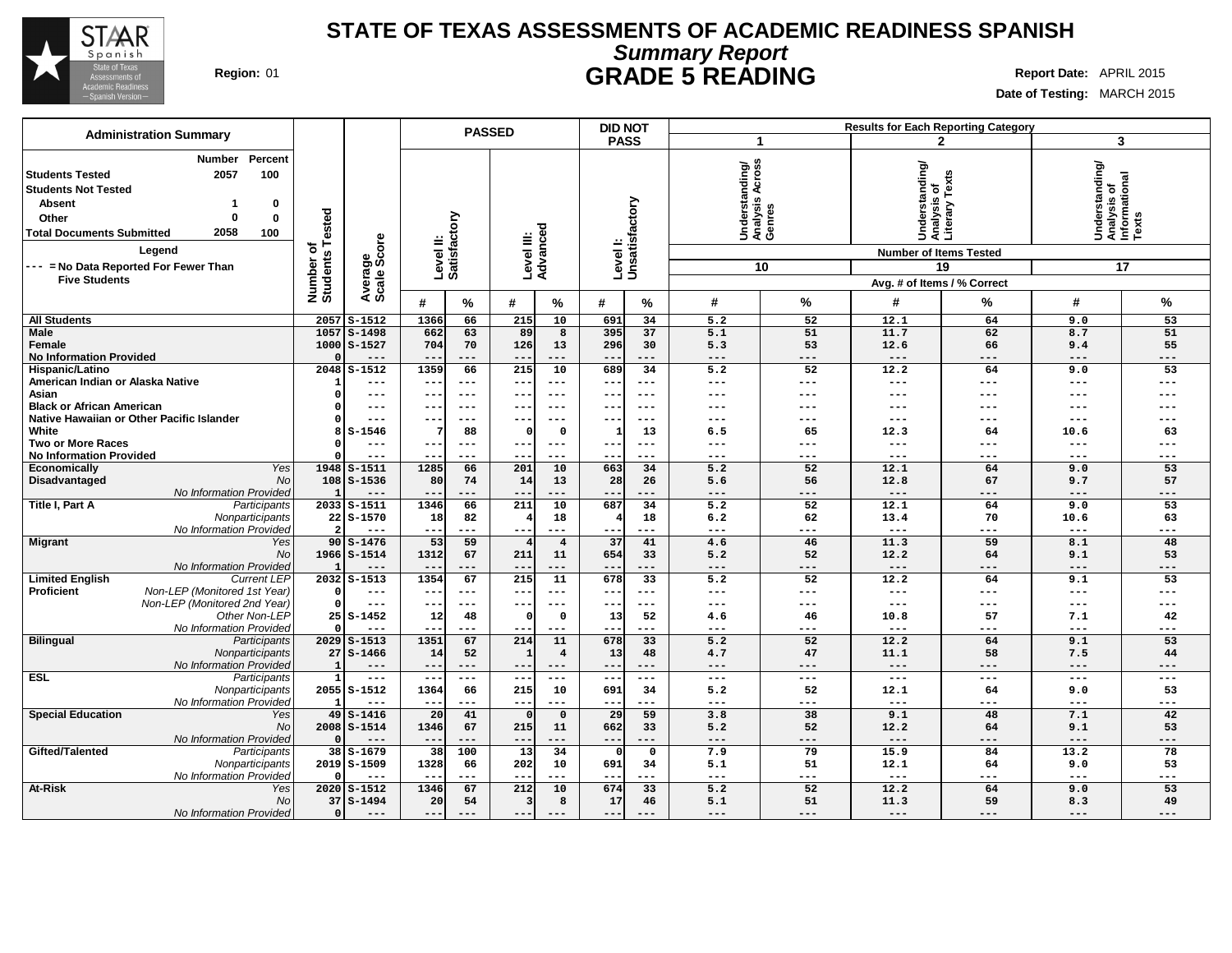

# **STATE OF TEXAS ASSESSMENTS OF ACADEMIC READINESS SPANISH Summary Report Region:** 01 **GRADE 5 READING Report Date:** APRIL 2015

**Date of Testing:** MARCH 2015

|                                                                                                                                                                                                |                       |                            |               | <b>PASSED</b>             |                          |                         | <b>DID NOT</b>           |                           |                                                   |                           |                                                 | <b>Results for Each Reporting Category</b> |                                                            |                 |
|------------------------------------------------------------------------------------------------------------------------------------------------------------------------------------------------|-----------------------|----------------------------|---------------|---------------------------|--------------------------|-------------------------|--------------------------|---------------------------|---------------------------------------------------|---------------------------|-------------------------------------------------|--------------------------------------------|------------------------------------------------------------|-----------------|
| <b>Administration Summary</b>                                                                                                                                                                  |                       |                            |               |                           |                          |                         | <b>PASS</b>              |                           | -1                                                |                           |                                                 | $\mathbf{2}$                               | 3                                                          |                 |
| Percent<br><b>Number</b><br>100<br><b>Students Tested</b><br>2057<br><b>Students Not Tested</b><br>Absent<br>0<br>$\mathbf 0$<br>Other<br>O<br>2058<br>100<br><b>Total Documents Submitted</b> | Tested                |                            |               | Level II:<br>Satisfactory |                          | Level III:<br>Advanced  |                          | Levell:<br>Unsatisfactory | SS<br>Understanding/<br>Analysis Across<br>Genres |                           | Understanding/<br>Analysis of<br>Literary Texts |                                            | Understanding/<br> Analysis of<br> Informational<br> Texts |                 |
| Legend                                                                                                                                                                                         | ৳                     | Average<br>Scale Score     |               |                           |                          |                         |                          |                           |                                                   |                           | <b>Number of Items Tested</b>                   |                                            |                                                            |                 |
| --- = No Data Reported For Fewer Than                                                                                                                                                          | Number of<br>Students |                            |               |                           |                          |                         |                          |                           |                                                   | 10                        |                                                 | 19                                         |                                                            | 17              |
| <b>Five Students</b>                                                                                                                                                                           |                       |                            |               |                           |                          |                         |                          |                           |                                                   |                           | Avg. # of Items / % Correct                     |                                            |                                                            |                 |
|                                                                                                                                                                                                |                       |                            | #             | %                         | #                        | %                       | #                        | %                         | #                                                 | %                         | #                                               | %                                          | #                                                          | %               |
| <b>All Students</b>                                                                                                                                                                            | 2057                  | $S-1512$                   | 1366          | 66                        | 215                      | 10                      | 691                      | 34                        | 5.2                                               | 52                        | 12.1                                            | 64                                         | 9.0                                                        | 53              |
| Male                                                                                                                                                                                           | 1057                  | $S - 1498$                 | 662           | 63                        | 89                       | 8                       | 395                      | 37                        | 5.1                                               | 51                        | 11.7                                            | 62                                         | 8.7                                                        | 51              |
| Female<br><b>No Information Provided</b>                                                                                                                                                       |                       | 1000 S-1527<br>$---$       | 704<br>$- -$  | 70<br>$\qquad \qquad - -$ | 126<br>$---$             | 13<br>---               | 296<br>---               | 30<br>$---$               | 5.3<br>$---$                                      | 53<br>$---$               | 12.6<br>$---$                                   | 66<br>---                                  | 9.4<br>$---$                                               | 55<br>---       |
| Hispanic/Latino                                                                                                                                                                                |                       | $2048$ $S-1512$            | 1359          | 66                        | $\overline{215}$         | 10                      | 689                      | 34                        | 5.2                                               | 52                        | 12.2                                            | 64                                         | 9.0                                                        | $\overline{53}$ |
| American Indian or Alaska Native                                                                                                                                                               |                       | $---$                      | $--$          | $---$                     | $--$                     | $---$                   | $--$                     | $---$                     | $---$                                             | $---$                     | $---$                                           | ---                                        | $---$                                                      | ---             |
| Asian                                                                                                                                                                                          |                       | $---$                      | ---           | $---$                     | $---$                    | $---$                   | $---$                    | $---$                     | $---$                                             | $---$                     | ---                                             | ---                                        | $---$                                                      | ---             |
| <b>Black or African American</b><br>Native Hawaiian or Other Pacific Islander                                                                                                                  |                       | $---$                      |               | $--$                      | $ -$                     |                         |                          | $--$                      | $--$                                              | ---                       | ---                                             |                                            | $--$                                                       |                 |
| White                                                                                                                                                                                          | 8                     | $---$<br>$S-1546$          | ---<br>7      | $---$<br>88               | $--$<br>$\Omega$         | $---$<br>$\mathbf 0$    | $--$<br>$\mathbf{1}$     | $---$<br>13               | $---$<br>6.5                                      | $---$<br>65               | ---<br>12.3                                     | ---<br>64                                  | $---$<br>10.6                                              | ---<br>63       |
| <b>Two or More Races</b>                                                                                                                                                                       |                       | $---$                      | --            | $---$                     | $--$                     | $---$                   | $- -$                    | $---$                     | $---$                                             | $---$                     | ---                                             | ---                                        | $---$                                                      | ---             |
| <b>No Information Provided</b>                                                                                                                                                                 |                       | $- - -$                    | $- -$         | $---$                     | $--$                     | $---$                   | $- -$                    | $---$                     | $---$                                             | $---$                     | $---$                                           | ---                                        | $---$                                                      | ---             |
| Yes<br>Economically                                                                                                                                                                            |                       | $1948$ $S-1511$            | 1285          | 66                        | 201                      | 10                      | 663                      | 34                        | 5.2                                               | 52                        | 12.1                                            | 64                                         | 9.0                                                        | 53              |
| Disadvantaged<br>No                                                                                                                                                                            |                       | $108$ $S-1536$             | 80            | 74                        | 14                       | 13                      | 28                       | 26                        | 5.6                                               | 56                        | 12.8                                            | 67                                         | 9.7                                                        | 57              |
| No Information Provided<br>Title I, Part A<br>Participants                                                                                                                                     |                       | 2033 S-1511                | 1346          | ---<br>66                 | $- -$<br>211             | ---<br>10               | 687                      | ---<br>34                 | $---$<br>5.2                                      | ---<br>52                 | $---$<br>12.1                                   | ---<br>64                                  | $---$<br>9.0                                               | ---<br>53       |
| Nonparticipants                                                                                                                                                                                |                       | $22$ $S-1570$              | 18            | 82                        | 4                        | 18                      |                          | 18                        | 6.2                                               | 62                        | 13.4                                            | 70                                         | 10.6                                                       | 63              |
| No Information Provideo                                                                                                                                                                        |                       |                            | $- -$         | ---                       | $- -$                    | $- - -$                 |                          | ---                       | $---$                                             | $---$                     | $---$                                           | ---                                        | $---$                                                      | ---             |
| <b>Migrant</b><br>Yes                                                                                                                                                                          |                       | $90S - 1476$               | 53            | 59                        | $\vert 4 \vert$          | $\overline{4}$          | 37                       | 41                        | 4.6                                               | 46                        | 11.3                                            | 59                                         | 8.1                                                        | 48              |
| No                                                                                                                                                                                             |                       | 1966 S-1514                | 1312          | 67<br>---                 | 211<br>$-$               | 11<br>---               | 654                      | 33<br>---                 | 5.2<br>$---$                                      | 52<br>$---$               | 12.2<br>$---$                                   | 64<br>---                                  | 9.1<br>$---$                                               | 53<br>---       |
| No Information Provided<br><b>Limited English</b><br><b>Current LEP</b>                                                                                                                        |                       | 2032 S-1513                | 1354          | 67                        | 215                      | 11                      | 678                      | 33                        | 5.2                                               | 52                        | 12.2                                            | 64                                         | 9.1                                                        | 53              |
| <b>Proficient</b><br>Non-LEP (Monitored 1st Year)                                                                                                                                              |                       | ---                        | ---           | $---$                     | $--$                     | ---                     | ---                      | $---$                     | $---$                                             | $---$                     | ---                                             | ---                                        | $---$                                                      | ---             |
| Non-LEP (Monitored 2nd Year)                                                                                                                                                                   |                       | $---$                      | $- -$         | $---$                     | $\overline{\phantom{a}}$ | $- -$                   |                          | $---$                     | $\qquad \qquad - -$                               | $---$                     | $---$                                           | ---                                        | $---$                                                      |                 |
| Other Non-LEP                                                                                                                                                                                  |                       | $25S - 1452$               | 12            | 48                        | $\Omega$                 | $\Omega$                | 13                       | 52                        | 4.6                                               | 46                        | 10.8                                            | 57                                         | 7.1                                                        | 42              |
| No Information Provideo<br><b>Bilingual</b><br>Participants                                                                                                                                    |                       | $- - -$<br>$2029$ $S-1513$ | $- -$<br>1351 | $---$<br>67               | $- -$<br>214             | $- - -$<br>11           | $- - -$<br>678           | $---$<br>33               | $---$<br>5.2                                      | $---$<br>52               | $---$<br>12.2                                   | ---<br>64                                  | $---$<br>9.1                                               | ---<br>53       |
| Nonparticipants                                                                                                                                                                                |                       | $27S - 1466$               | 14            | 52                        |                          | $\overline{\mathbf{4}}$ | 13                       | 48                        | 4.7                                               | 47                        | 11.1                                            | 58                                         | 7.5                                                        | 44              |
| No Information Provided                                                                                                                                                                        | -1                    | $---$                      | $- -$         | $---$                     | $- -$                    | $---$                   | ---                      | $---$                     | $---$                                             | $---$                     | $---$                                           | ---                                        | $---$                                                      | ---             |
| <b>ESL</b><br>Participants                                                                                                                                                                     | 1                     | $\qquad \qquad - -$        | $---$         | $\qquad \qquad - -$       | $\frac{1}{2}$            | $\qquad \qquad - -$     | $---$                    | $\frac{1}{2}$             | $\sim$ $\sim$ $\sim$                              | $---$                     | $\frac{1}{2}$                                   | $---$                                      | $---$                                                      | $---$           |
| Nonparticipants                                                                                                                                                                                |                       | 2055 S-1512                | 1364          | 66                        | 215                      | 10                      | 691                      | 34                        | 5.2                                               | 52                        | 12.1                                            | 64                                         | 9.0                                                        | 53              |
| No Information Provided<br><b>Special Education</b><br>Yes                                                                                                                                     |                       | $---$<br>$49$ $S-1416$     | 20            | ---<br>41                 | $- -$<br>$\Omega$        | ---<br>$\mathbf 0$      | 29                       | ---<br>59                 | $\qquad \qquad - -$<br>3.8                        | $---$<br>38               | $\qquad \qquad - -$<br>9.1                      | ---<br>48                                  | $---$<br>7.1                                               | ---<br>42       |
| No                                                                                                                                                                                             |                       | 2008 S-1514                | 1346          | 67                        | 215                      | 11                      | 662                      | 33                        | 5.2                                               | 52                        | 12.2                                            | 64                                         | 9.1                                                        | 53              |
| No Information Provided                                                                                                                                                                        |                       | $---$                      | $- -$         | ---                       | $- -$                    | $---$                   | $--$                     | $---$                     | $\qquad \qquad - -$                               | $---$                     | $---$                                           | $---$                                      | $---$                                                      | ---             |
| Gifted/Talented<br>Participants                                                                                                                                                                |                       | 38 S-1679                  | 38            | 100                       | 13                       | 34                      | $\Omega$                 | $\mathbf 0$               | 7.9                                               | 79                        | 15.9                                            | 84                                         | 13.2                                                       | 78              |
| Nonparticipants                                                                                                                                                                                |                       | 2019 S-1509                | 1328          | 66                        | <b>2021</b>              | 10                      | 691                      | 34                        | 5.1                                               | 51                        | 12.1                                            | 64                                         | 9.0                                                        | 53              |
| No Information Provided<br><b>At-Risk</b><br>Yes                                                                                                                                               |                       | $---$<br>2020 S-1512       | $- -$<br>1346 | $---$<br>67               | $--$<br>212              | $---$<br>10             | $\qquad \qquad -$<br>674 | $---$<br>33               | $\qquad \qquad -$<br>5.2                          | $\qquad \qquad - -$<br>52 | $\qquad \qquad - -$<br>12.2                     | $\qquad \qquad - -$<br>64                  | $\qquad \qquad - -$<br>9.0                                 | ---<br>53       |
| <b>No</b>                                                                                                                                                                                      |                       | $37S - 1494$               | 20            | 54                        | $\overline{3}$           | 8                       | 17                       | 46                        | 5.1                                               | 51                        | 11.3                                            | 59                                         | 8.3                                                        | 49              |
| No Information Provided                                                                                                                                                                        |                       | $---$                      | $---$         | $---$                     | $---$                    | $---$                   | $- -$                    |                           | $---$                                             | $---$                     | $---$                                           | ---                                        | $---$                                                      | ---             |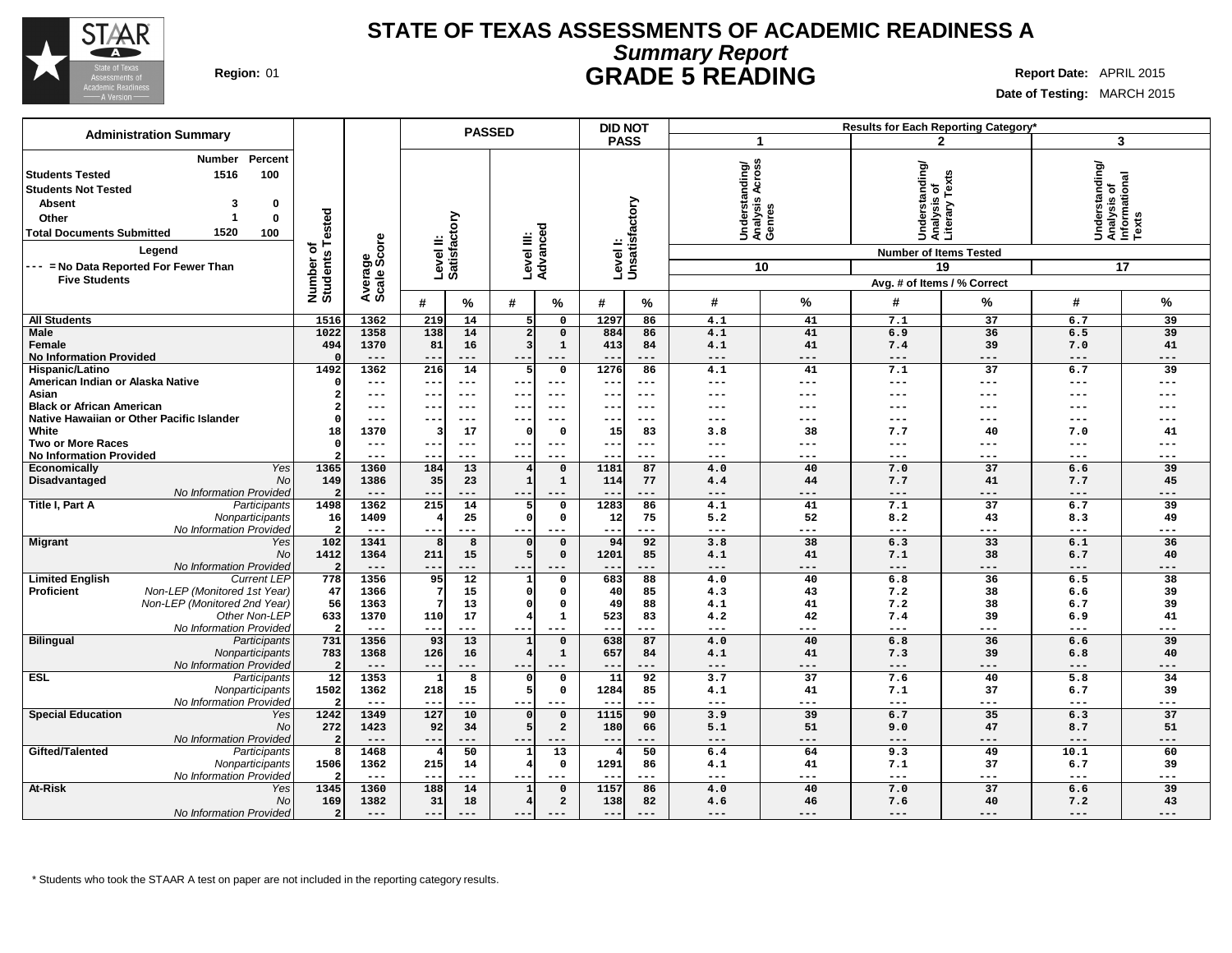

## **STATE OF TEXAS ASSESSMENTS OF ACADEMIC READINESS A Summary Report Region:** 01 **GRADE 5 READING Report Date:** APRIL 2015

**Date of Testing:** MARCH 2015

| <b>Administration Summary</b>                                                                                                                                                                                                                                     |                                    |                        |                                          | <b>PASSED</b>                             |                              | <b>DID NOT</b> |                                               |                 | <b>Results for Each Reporting Category'</b>                                                                     |                 |                                                            |              |
|-------------------------------------------------------------------------------------------------------------------------------------------------------------------------------------------------------------------------------------------------------------------|------------------------------------|------------------------|------------------------------------------|-------------------------------------------|------------------------------|----------------|-----------------------------------------------|-----------------|-----------------------------------------------------------------------------------------------------------------|-----------------|------------------------------------------------------------|--------------|
|                                                                                                                                                                                                                                                                   |                                    |                        |                                          |                                           |                              | <b>PASS</b>    | -1                                            |                 |                                                                                                                 | $\mathbf{2}$    | 3                                                          |              |
| Percent<br><b>Number</b><br>100<br>1516<br>l Students Tested<br><b>Students Not Tested</b><br><b>Absent</b><br>3<br>0<br>0<br>Other<br>1520<br><b>Total Documents Submitted</b><br>100<br>Legend<br>--- = No Data Reported For Fewer Than<br><b>Five Students</b> | ested<br>৳<br>Number o<br>Students | Average<br>Scale Score | ζq<br>Level II:<br>Satisfact<br>$\equiv$ | Level III:<br>Advanced                    | Level I:                     | Unsatisfactory | Understanding/<br> Analysis Across<br> Genres | 10              | Understanding/<br>Analysis of<br>Literary Texts<br><b>Number of Items Tested</b><br>Avg. # of Items / % Correct | 19              | Understanding/<br> Analysis of<br> Informational<br> Texts | 17           |
|                                                                                                                                                                                                                                                                   |                                    |                        | #<br>℅                                   | #<br>%                                    | #                            | $\%$           | #                                             | $\%$            | #                                                                                                               | %               | $\#$                                                       | %            |
| <b>All Students</b>                                                                                                                                                                                                                                               | 1516                               | 1362                   | 219<br>14                                | 5 <sup>1</sup><br>$\mathbf 0$             | 1297                         | 86             | 4.1                                           | 41              | 7.1                                                                                                             | 37              | 6.7                                                        | 39           |
| <b>Male</b>                                                                                                                                                                                                                                                       | 1022                               | 1358                   | 138<br>14                                | 2 <sup>1</sup><br>$\mathbf 0$             | 884                          | 86             | 4.1                                           | 41              | 6.9                                                                                                             | 36              | 6.5                                                        | 39           |
| Female                                                                                                                                                                                                                                                            | 494                                | 1370                   | 81<br>16                                 | $\overline{3}$<br>$\mathbf{1}$            | 413                          | 84             | 4.1                                           | 41              | 7.4                                                                                                             | 39              | 7.0                                                        | 41           |
| <b>No Information Provided</b>                                                                                                                                                                                                                                    |                                    | $---$                  | ---<br>$--$                              | $---$<br>---                              | $- -$                        | $---$          | $---$                                         | $---$           | $---$                                                                                                           | $---$           | $---$                                                      | $---$        |
| Hispanic/Latino                                                                                                                                                                                                                                                   | 1492                               | 1362                   | 216<br>14                                | 5<br>$\mathbf 0$                          | 1276                         | 86             | 4.1                                           | 41              | 7.1                                                                                                             | 37              | 6.7                                                        | 39           |
| American Indian or Alaska Native                                                                                                                                                                                                                                  | $\Omega$                           | $---$                  | $\overline{\phantom{m}}$<br>---          | ---<br>$---$                              | $--$                         | $--$           | $--$                                          | $---$           | $\qquad \qquad - -$                                                                                             | $---$           | $---$                                                      | $---$        |
| Asian                                                                                                                                                                                                                                                             | $\overline{\mathbf{2}}$            | $---$                  | $---$<br>$--$                            | $---$<br>---                              | $--$                         | $---$          | ---                                           | ---             | ---                                                                                                             | $---$           | ---                                                        | ---          |
| <b>Black or African American</b>                                                                                                                                                                                                                                  | $\overline{a}$                     | $- - -$                | $---$                                    | --<br>$- - -$                             | --                           | $- - -$        | ---                                           |                 | ---                                                                                                             |                 | ---                                                        | ---          |
| Native Hawaiian or Other Pacific Islander                                                                                                                                                                                                                         | $\Omega$                           | $---$                  | $- -$<br>---                             | ---                                       | --                           | $--$           | ---                                           | ---             | ---                                                                                                             | $--$            | ---                                                        | ---          |
| White                                                                                                                                                                                                                                                             | 18                                 | 1370                   | 17<br>3                                  | $\Omega$<br>O                             | 15                           | 83             | 3.8                                           | 38              | 7.7                                                                                                             | 40              | 7.0                                                        | 41           |
| <b>Two or More Races</b>                                                                                                                                                                                                                                          | $\Omega$                           | $---$<br>$---$         | $---$<br>$- -$<br>$- -$<br>$---$         | $-- -$<br>--<br>$---$<br>---              | $\qquad \qquad -$<br>$- - -$ | $---$<br>$---$ | ---<br>---                                    | ---<br>$---$    | $---$<br>$---$                                                                                                  | ---<br>$---$    | ---<br>$---$                                               | ---<br>$---$ |
| <b>No Information Provided</b><br>Yes<br>Economically                                                                                                                                                                                                             | 1365                               | 1360                   | 184<br>$\overline{13}$                   | $\mathbf 0$<br>$\overline{4}$             | 1181                         | 87             | 4.0                                           | 40              | 7.0                                                                                                             | $\overline{37}$ | 6.6                                                        | 39           |
| No<br>Disadvantaged                                                                                                                                                                                                                                               | 149                                | 1386                   | 35<br>23                                 | $\mathbf{1}$<br>$\mathbf{1}$              | 114                          | 77             | 4.4                                           | 44              | 7.7                                                                                                             | 41              | 7.7                                                        | 45           |
| No Information Provided                                                                                                                                                                                                                                           | $\mathbf{c}$                       | $---$                  | ---<br>$- -$                             | $---$<br>---                              | $\qquad \qquad -$            | ---            | $---$                                         | ---             | $---$                                                                                                           | $---$           | $---$                                                      | $---$        |
| Title I, Part A<br>Participants                                                                                                                                                                                                                                   | 1498                               | 1362                   | 215<br>14                                | 5<br>$\mathbf 0$                          | 1283                         | 86             | 4.1                                           | 41              | 7.1                                                                                                             | 37              | 6.7                                                        | 39           |
| Nonparticipants                                                                                                                                                                                                                                                   | 16                                 | 1409                   | 25                                       | οI<br>$\mathsf{o}$                        | 12                           | 75             | 5.2                                           | 52              | 8.2                                                                                                             | 43              | 8.3                                                        | 49           |
| No Information Provided                                                                                                                                                                                                                                           | $\overline{a}$                     | $---$                  | ---<br>$- -$                             |                                           | --                           | $---$          | $---$                                         | ---             | $---$                                                                                                           | ---             | ---                                                        | ---          |
| Migrant<br>Yes                                                                                                                                                                                                                                                    | 102                                | 1341                   | 8<br>R                                   | $\mathbf 0$<br>$\Omega$                   | 94                           | 92             | 3.8                                           | 38              | 6.3                                                                                                             | 33              | 6.1                                                        | 36           |
| <b>No</b>                                                                                                                                                                                                                                                         | 1412                               | 1364                   | 211<br>15                                | 5 <sup>1</sup><br>$\mathbf 0$             | 1201                         | 85             | 4.1                                           | 41              | 7.1                                                                                                             | 38              | 6.7                                                        | 40           |
| No Information Provided                                                                                                                                                                                                                                           | $\overline{a}$                     | $---$                  | ---<br>$- -$                             |                                           |                              | $- - -$        | $---$                                         | ---             | $---$                                                                                                           | ---             | ---                                                        | ---          |
| <b>Limited English</b><br><b>Current LEP</b>                                                                                                                                                                                                                      | 778                                | 1356                   | 95<br>$\overline{12}$                    | $\mathbf 0$<br>1                          | 683                          | 88             | 4.0                                           | 40              | 6.8                                                                                                             | 36              | 6.5                                                        | 38           |
| Non-LEP (Monitored 1st Year)<br><b>Proficient</b>                                                                                                                                                                                                                 | 47                                 | 1366                   | 15                                       | $\Omega$<br>$\mathbf 0$                   | 40                           | 85             | 4.3                                           | 43              | 7.2                                                                                                             | 38              | 6.6                                                        | 39           |
| Non-LEP (Monitored 2nd Year)                                                                                                                                                                                                                                      | 56                                 | 1363                   | 13                                       | 0<br>$\mathbf 0$                          | 49                           | 88             | 4.1                                           | 41              | 7.2                                                                                                             | 38              | 6.7                                                        | 39           |
| Other Non-LEP                                                                                                                                                                                                                                                     | 633<br>$\overline{2}$              | 1370                   | 17<br>110                                | $\mathbf{1}$<br>4                         | 523                          | 83             | 4.2                                           | 42              | 7.4                                                                                                             | 39              | 6.9                                                        | 41           |
| No Information Provided<br><b>Bilingual</b><br>Participants                                                                                                                                                                                                       | 731                                | $---$<br>1356          | $- -$<br>---<br>93<br>13                 | ---<br>$\mathbf{1}$<br>$\mathbf 0$        | --<br>638                    | $---$<br>87    | ---<br>4.0                                    | ---<br>40       | $---$<br>6.8                                                                                                    | ---<br>36       | ---<br>6.6                                                 | ---<br>39    |
| Nonparticipants                                                                                                                                                                                                                                                   | 783                                | 1368                   | 126<br>16                                | $\overline{4}$<br>$\mathbf{1}$            | 657                          | 84             | 4.1                                           | 41              | 7.3                                                                                                             | 39              | 6.8                                                        | 40           |
| No Information Provided                                                                                                                                                                                                                                           | $\overline{2}$                     | $- - -$                | $\qquad \qquad -$<br>---                 | $- - -$<br>---                            | $\qquad \qquad -$            | $- - -$        | $---$                                         | ---             | $---$                                                                                                           | ---             | ---                                                        | ---          |
| <b>ESL</b><br>Participants                                                                                                                                                                                                                                        | $\overline{12}$                    | 1353                   | 8<br>-1                                  | $\mathsf{o}$<br>$\Omega$                  | $\overline{11}$              | 92             | $\overline{3.7}$                              | $\overline{37}$ | 7.6                                                                                                             | 40              | 5.8                                                        | 34           |
| Nonparticipants                                                                                                                                                                                                                                                   | 1502                               | 1362                   | 218<br>15                                | 5 <sup>1</sup><br>$\mathbf 0$             | 1284                         | 85             | 4.1                                           | 41              | 7.1                                                                                                             | 37              | 6.7                                                        | 39           |
| No Information Provided                                                                                                                                                                                                                                           | $\overline{2}$                     | $- - -$                | $ -$<br>---                              | $- - -$<br>---                            | $ -$                         | $- - -$        | $- - -$                                       | $- - -$         | $- - -$                                                                                                         | $- - -$         | ---                                                        | ---          |
| <b>Special Education</b><br>Yes                                                                                                                                                                                                                                   | 1242                               | 1349                   | 127<br>10                                | $\mathbf 0$<br> 0                         | 1115                         | 90             | 3.9                                           | 39              | 6.7                                                                                                             | 35              | 6.3                                                        | 37           |
| No                                                                                                                                                                                                                                                                | 272                                | 1423                   | 92<br>34                                 | 5 <sup>1</sup><br>$\overline{a}$          | 180                          | 66             | 5.1                                           | 51              | 9.0                                                                                                             | 47              | 8.7                                                        | 51           |
| No Information Provided                                                                                                                                                                                                                                           | $\overline{a}$                     | $---$                  | $\qquad \qquad -$<br>---                 | --                                        | $- -$                        | $---$          | $---$                                         | ---             | $---$                                                                                                           | $---$           | $---$                                                      | ---          |
| Gifted/Talented<br>Participants                                                                                                                                                                                                                                   | 8                                  | 1468                   | 50<br>4                                  | 13<br>$\mathbf{1}$                        |                              | 50             | 6.4                                           | 64              | 9.3                                                                                                             | 49              | 10.1                                                       | 60           |
| Nonparticipants                                                                                                                                                                                                                                                   | 1506                               | 1362                   | 215<br>14                                | $\overline{4}$<br>$\mathbf 0$             | 1291                         | 86             | 4.1                                           | 41              | 7.1                                                                                                             | 37              | 6.7                                                        | 39           |
| No Information Provided                                                                                                                                                                                                                                           | $\overline{a}$                     | $--$                   | $\overline{\phantom{m}}$<br>---          | ---                                       | $-$                          | $--$           | ---                                           | ---             | $\qquad \qquad - -$                                                                                             | $---$           | $---$                                                      | ---          |
| <b>At-Risk</b><br>Yes                                                                                                                                                                                                                                             | 1345                               | 1360                   | 188<br>14                                | $\mathbf{1}$<br>$\mathbf 0$               | 1157                         | 86             | 4.0                                           | 40              | 7.0                                                                                                             | $\overline{37}$ | 6.6                                                        | 39           |
| No                                                                                                                                                                                                                                                                | 169                                | 1382                   | 31<br>18                                 | $\overline{a}$<br>$\overline{\mathbf{4}}$ | 138                          | 82             | 4.6                                           | 46              | 7.6                                                                                                             | 40              | 7.2                                                        | 43           |
| No Information Provided                                                                                                                                                                                                                                           | 2 <sup>1</sup>                     | $---$                  | $---$<br>---                             | $---$<br>---                              | $---$                        | $---$          | $---$                                         | ---             | $---$                                                                                                           | $---$           | $---$                                                      | $---$        |

\* Students who took the STAAR A test on paper are not included in the reporting category results.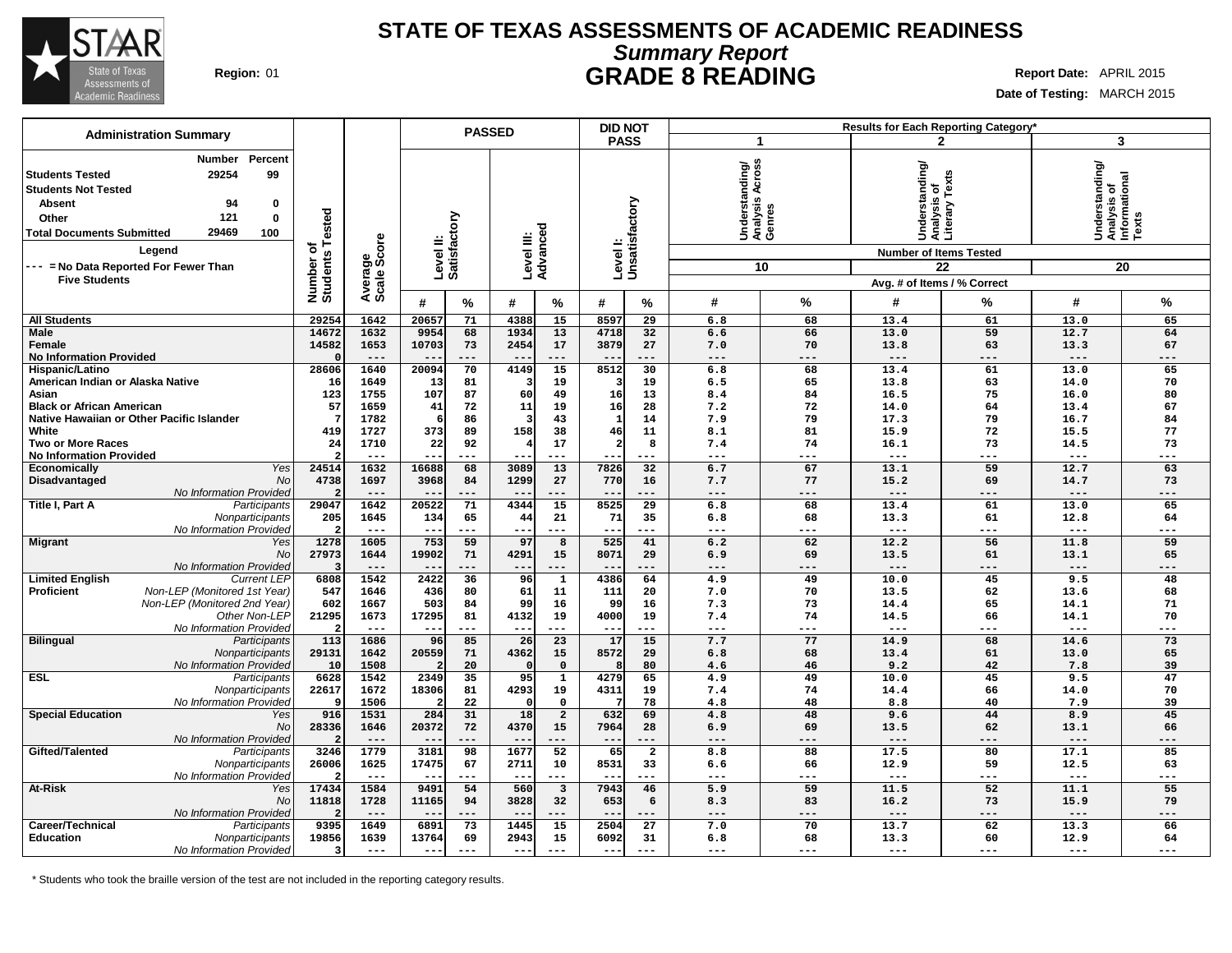

## **STATE OF TEXAS ASSESSMENTS OF ACADEMIC READINESS Summary Report Region:** 01 **GRADE 8 READING Report Date:** APRIL 2015

٦

**Date of Testing:** MARCH 2015

|                                                                                                                                                                                                                                                                          |                                     |                         |                        |                 | <b>PASSED</b>          |                          |                | <b>DID NOT</b>             |                                                       |                        |                                                 | Results for Each Reporting Category*                               |                                                            |           |
|--------------------------------------------------------------------------------------------------------------------------------------------------------------------------------------------------------------------------------------------------------------------------|-------------------------------------|-------------------------|------------------------|-----------------|------------------------|--------------------------|----------------|----------------------------|-------------------------------------------------------|------------------------|-------------------------------------------------|--------------------------------------------------------------------|------------------------------------------------------------|-----------|
| <b>Administration Summary</b>                                                                                                                                                                                                                                            |                                     |                         |                        |                 |                        |                          |                | <b>PASS</b>                | -1                                                    |                        |                                                 | $\mathbf{2}$                                                       | 3                                                          |           |
| Percent<br>Number<br>29254<br>99<br><b>Students Tested</b><br><b>Students Not Tested</b><br>94<br>0<br><b>Absent</b><br>121<br>0<br>Other<br>29469<br>100<br><b>Total Documents Submitted</b><br>Legend<br>--- = No Data Reported For Fewer Than<br><b>Five Students</b> | ested<br>৳<br>Number of<br>Students | ige<br>Score<br>Average | Level II:<br>Satisfact | tory            | Level III:<br>Advanced |                          |                | Level I:<br>Unsatisfactory | Across<br>Understanding/<br>Analysis Across<br>Genres | 10                     | Understanding/<br>Analysis of<br>Literary Texts | <b>Number of Items Tested</b><br>22<br>Avg. # of Items / % Correct | Understanding/<br> Analysis of<br> Informational<br> Texts | 20        |
|                                                                                                                                                                                                                                                                          |                                     |                         | #                      | %               | #                      | %                        | #              | $\%$                       | #                                                     | $\%$                   | #                                               | %                                                                  | #                                                          | %         |
| <b>All Students</b>                                                                                                                                                                                                                                                      | 29254                               | 1642                    | 20657                  | 71              | 4388                   | 15                       | 8597           | 29                         | 6.8                                                   | 68                     | 13.4                                            | 61                                                                 | 13.0                                                       | 65        |
| <b>Male</b>                                                                                                                                                                                                                                                              | 14672                               | 1632                    | 9954                   | 68              | 1934                   | 13                       | 4718           | 32                         | 6.6                                                   | 66                     | 13.0                                            | 59                                                                 | 12.7                                                       | 64        |
| Female                                                                                                                                                                                                                                                                   | 14582                               | 1653                    | 10703                  | 73              | 2454                   | 17                       | 3879           | 27                         | 7.0                                                   | 70                     | 13.8                                            | 63                                                                 | 13.3                                                       | 67        |
| <b>No Information Provided</b>                                                                                                                                                                                                                                           | 28606                               | $---$<br>1640           |                        | ---<br>70       | $ -$                   | $---$<br>$\overline{15}$ | 8512           | ---<br>30                  | $---$                                                 | ---                    | $---$<br>13.4                                   | ---<br>61                                                          | $---$<br>13.0                                              | ---<br>65 |
| Hispanic/Latino<br>American Indian or Alaska Native                                                                                                                                                                                                                      | 16                                  | 1649                    | 20094<br>13            | 81              | 4149                   | 19                       | 3              | 19                         | 6.8<br>6.5                                            | 68<br>65               | 13.8                                            | 63                                                                 | 14.0                                                       | 70        |
| Asian                                                                                                                                                                                                                                                                    | 123                                 | 1755                    | 107                    | 87              | 60                     | 49                       | 16             | 13                         | 8.4                                                   | 84                     | 16.5                                            | 75                                                                 | 16.0                                                       | 80        |
| <b>Black or African American</b>                                                                                                                                                                                                                                         | 57                                  | 1659                    | 41                     | 72              | 11                     | 19                       | 16             | 28                         | 7.2                                                   | 72                     | 14.0                                            | 64                                                                 | 13.4                                                       | 67        |
| Native Hawaiian or Other Pacific Islander                                                                                                                                                                                                                                |                                     | 1782                    |                        | 86              | в                      | 43                       | $\mathbf{1}$   | 14                         | 7.9                                                   | 79                     | 17.3                                            | 79                                                                 | 16.7                                                       | 84        |
| White                                                                                                                                                                                                                                                                    | 419                                 | 1727                    | 373                    | 89              | 158                    | 38                       | 46             | 11                         | 8.1                                                   | 81                     | 15.9                                            | 72                                                                 | 15.5                                                       | 77        |
| <b>Two or More Races</b>                                                                                                                                                                                                                                                 | 24                                  | 1710                    | 22                     | 92              |                        | 17                       | $\overline{2}$ | 8                          | 7.4                                                   | 74                     | 16.1                                            | 73                                                                 | 14.5                                                       | 73        |
| <b>No Information Provided</b><br>Yes                                                                                                                                                                                                                                    | 24514                               | $- - -$<br>1632         | $- -$<br>16688         | ---<br>68       | $ -$<br>3089           | $---$<br>13              | 7826           | ---<br>32                  | $---$<br>6.7                                          | ---<br>67              | $---$<br>13.1                                   | ---<br>59                                                          | $---$<br>12.7                                              | ---<br>63 |
| Economically<br>Disadvantaged<br><b>No</b>                                                                                                                                                                                                                               | 4738                                | 1697                    | 3968                   | 84              | 1299                   | 27                       | 770            | 16                         | 7.7                                                   | 77                     | 15.2                                            | 69                                                                 | 14.7                                                       | 73        |
| No Information Provided                                                                                                                                                                                                                                                  |                                     | ---                     |                        | ---             | --                     |                          | $- -$          |                            | ---                                                   | ---                    | $---$                                           | ---                                                                | ---                                                        | ---       |
| Title I, Part A<br>Participants                                                                                                                                                                                                                                          | 29047                               | 1642                    | 20522                  | 71              | 4344                   | 15                       | 8525           | 29                         | 6.8                                                   | 68                     | 13.4                                            | 61                                                                 | 13.0                                                       | 65        |
| Nonparticipants                                                                                                                                                                                                                                                          | 205                                 | 1645                    | 134                    | 65              | 44                     | 21                       | 71             | 35                         | 6.8                                                   | 68                     | 13.3                                            | 61                                                                 | 12.8                                                       | 64        |
| No Information Provided                                                                                                                                                                                                                                                  | 2                                   | $---$                   | $--$                   | ---             | ---                    | $---$                    | ---            | ---                        | $---$                                                 | $---$                  | $---$                                           | ---                                                                | $---$                                                      | ---       |
| Migrant<br>Yes                                                                                                                                                                                                                                                           | 1278                                | 1605                    | 753                    | 59              | 97                     | 8                        | 525            | 41                         | 6.2                                                   | 62                     | 12.2                                            | 56                                                                 | 11.8                                                       | 59        |
| No<br>No Information Provided                                                                                                                                                                                                                                            | 27973<br>-3                         | 1644<br>$---$           | 19902                  | 71<br>---       | 4291<br>$- -$          | 15<br>$---$              | 8071           | 29<br>---                  | 6.9<br>$---$                                          | 69<br>$---$            | 13.5<br>$---$                                   | 61<br>---                                                          | 13.1<br>$---$                                              | 65<br>--- |
| <b>Limited English</b><br><b>Current LEF</b>                                                                                                                                                                                                                             | 6808                                | 1542                    | 2422                   | $\overline{36}$ | 96                     | $\overline{1}$           | 4386           | 64                         | 4.9                                                   | 49                     | 10.0                                            | 45                                                                 | 9.5                                                        | 48        |
| Non-LEP (Monitored 1st Year)<br><b>Proficient</b>                                                                                                                                                                                                                        | 547                                 | 1646                    | 436                    | 80              | 61                     | 11                       | 111            | 20                         | 7.0                                                   | 70                     | 13.5                                            | 62                                                                 | 13.6                                                       | 68        |
| Non-LEP (Monitored 2nd Year)                                                                                                                                                                                                                                             | 602                                 | 1667                    | 503                    | 84              | 99                     | 16                       | 99             | 16                         | 7.3                                                   | 73                     | 14.4                                            | 65                                                                 | 14.1                                                       | 71        |
| Other Non-LEP                                                                                                                                                                                                                                                            | 21295                               | 1673                    | 17295                  | 81              | 4132                   | 19                       | 4000           | 19                         | 7.4                                                   | 74                     | 14.5                                            | 66                                                                 | 14.1                                                       | 70        |
| No Information Provided                                                                                                                                                                                                                                                  | $\mathbf{\cdot}$                    | $---$                   | $-$                    | ---             | $- -$                  | $- - -$                  | $- -$          | ---                        | $---$                                                 | $---$                  | $---$                                           | ---                                                                | $---$                                                      | ---       |
| <b>Bilingual</b><br>Participants                                                                                                                                                                                                                                         | 113                                 | 1686                    | 96                     | 85              | 26                     | 23                       | 17             | 15                         | 7.7                                                   | 77                     | 14.9                                            | 68                                                                 | 14.6                                                       | 73        |
| Nonparticipants                                                                                                                                                                                                                                                          | 29131<br>10                         | 1642<br>1508            | 20559                  | 71<br>20        | 4362                   | 15<br>$\Omega$           | 8572           | 29<br>80                   | 6.8<br>4.6                                            | 68<br>46               | 13.4<br>9.2                                     | 61<br>42                                                           | 13.0<br>7.8                                                | 65<br>39  |
| No Information Provided<br><b>ESL</b><br>Participants                                                                                                                                                                                                                    | 6628                                | 1542                    | 2349                   | 35              | 95                     | $\mathbf{1}$             | 4279           | 65                         | 4.9                                                   | 49                     | 10.0                                            | 45                                                                 | 9.5                                                        | 47        |
| Nonparticipants                                                                                                                                                                                                                                                          | 22617                               | 1672                    | 18306                  | 81              | 4293                   | 19                       | 4311           | 19                         | 7.4                                                   | 74                     | 14.4                                            | 66                                                                 | 14.0                                                       | 70        |
| No Information Provided                                                                                                                                                                                                                                                  | q                                   | 1506                    |                        | 22              |                        | $\mathbf{0}$             |                | 78                         | 4.8                                                   | 48                     | 8.8                                             | 40                                                                 | 7.9                                                        | 39        |
| <b>Special Education</b><br>Yes                                                                                                                                                                                                                                          | 916                                 | 1531                    | 284                    | 31              | 18                     | $\overline{\mathbf{c}}$  | 632            | 69                         | 4.8                                                   | 48                     | 9.6                                             | 44                                                                 | 8.9                                                        | 45        |
| No                                                                                                                                                                                                                                                                       | 28336                               | 1646                    | 20372                  | 72              | 4370                   | 15                       | 7964           | 28                         | 6.9                                                   | 69                     | 13.5                                            | 62                                                                 | 13.1                                                       | 66        |
| No Information Provided                                                                                                                                                                                                                                                  | $\overline{2}$                      | $---$<br>1779           |                        | ---             | $- -$                  | ---<br>$\overline{52}$   | $- -$<br>65    | ---                        | ---                                                   | ---<br>$\overline{88}$ | $---$                                           | ---                                                                | $---$                                                      | ---<br>85 |
| Gifted/Talented<br>Participants<br>Nonparticipants                                                                                                                                                                                                                       | 3246<br>26006                       | 1625                    | 3181<br>17475          | 98<br>67        | 1677<br>2711           | 10                       | 8531           | $\overline{a}$<br>33       | 8.8<br>6.6                                            | 66                     | 17.5<br>12.9                                    | 80<br>59                                                           | 17.1<br>12.5                                               | 63        |
| No Information Provided                                                                                                                                                                                                                                                  |                                     | $---$                   |                        | ---             | $- -$                  | $---$                    |                | ---                        | $---$                                                 | ---                    | $---$                                           | ---                                                                | $- - -$                                                    | ---       |
| At-Risk<br>Yes                                                                                                                                                                                                                                                           | 17434                               | 1584                    | 9491                   | 54              | 560                    | $\overline{\mathbf{3}}$  | 7943           | 46                         | 5.9                                                   | 59                     | 11.5                                            | 52                                                                 | 11.1                                                       | 55        |
| No                                                                                                                                                                                                                                                                       | 11818                               | 1728                    | 11165                  | 94              | 3828                   | 32                       | 653            | 6                          | 8.3                                                   | 83                     | 16.2                                            | 73                                                                 | 15.9                                                       | 79        |
| No Information Provided                                                                                                                                                                                                                                                  |                                     | $---$                   | $-$                    | ---             | $- -$                  | $---$                    |                | ---                        | $---$                                                 | $---$                  | $---$                                           | ---                                                                | $---$                                                      | ---       |
| Career/Technical<br>Participants                                                                                                                                                                                                                                         | 9395                                | 1649                    | 6891                   | 73              | 1445                   | 15                       | 2504           | 27                         | 7.0                                                   | 70                     | 13.7                                            | 62                                                                 | 13.3                                                       | 66        |
| <b>Education</b><br>Nonparticipants                                                                                                                                                                                                                                      | 19856                               | 1639                    | 13764                  | 69              | 2943                   | 15                       | 6092           | 31                         | 6.8                                                   | 68                     | 13.3                                            | 60                                                                 | 12.9                                                       | 64        |
| No Information Provided                                                                                                                                                                                                                                                  | 3                                   | $---$                   | $- -$                  | ---             | $- -$                  | $---$                    | $- - -$        | ---                        | $- - -$                                               | $---$                  | $---$                                           | ---                                                                | $- - -$                                                    | ---       |

\* Students who took the braille version of the test are not included in the reporting category results.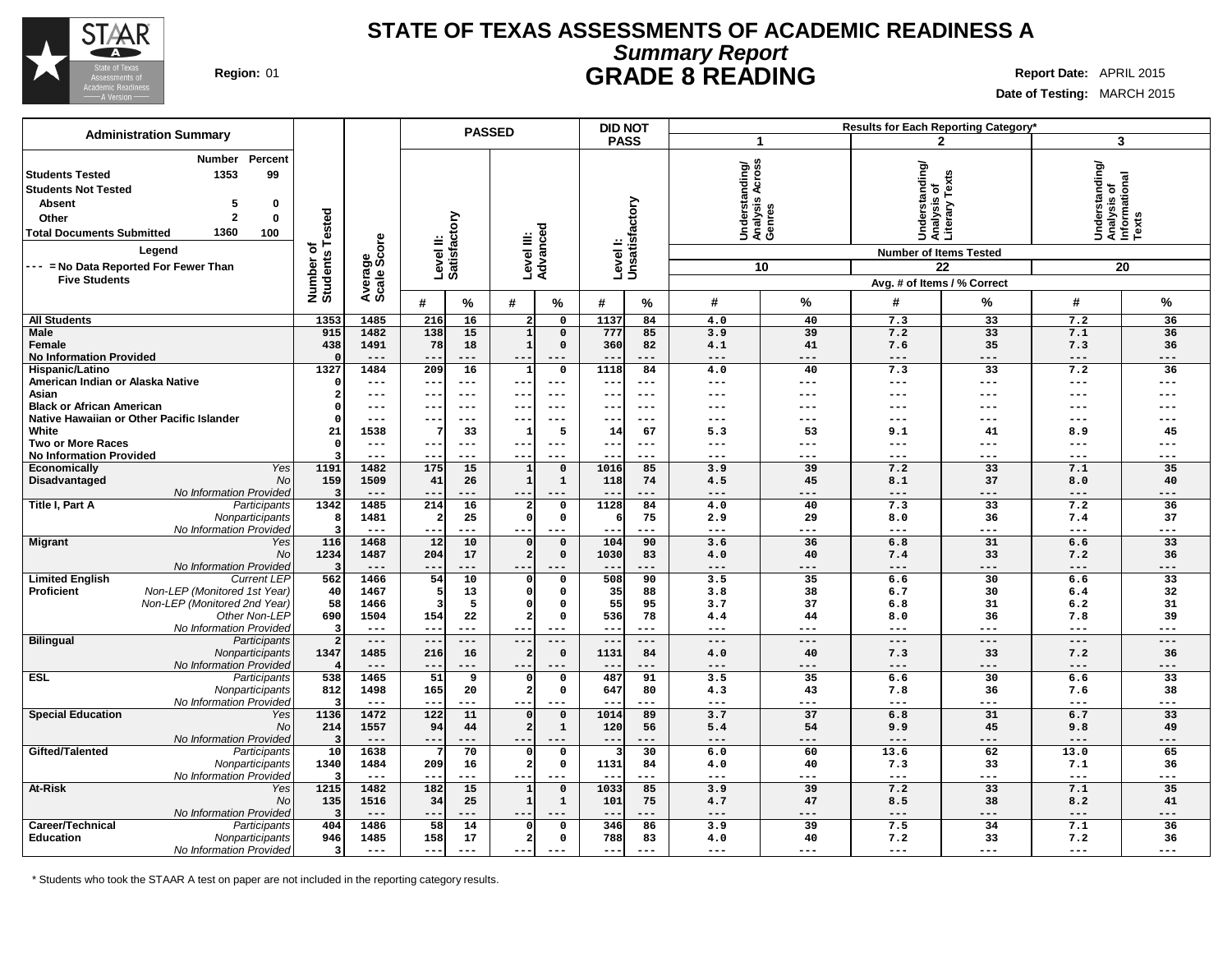

## **STATE OF TEXAS ASSESSMENTS OF ACADEMIC READINESS A Summary Report Region:** 01 **GRADE 8 READING Report Date:** APRIL 2015

**Date of Testing:** MARCH 2015

| <b>Administration Summary</b><br><b>PASS</b><br>3<br>2<br>$\mathbf 1$<br>Percent<br>Number<br>Understanding/<br>Analysis Across<br>Genres<br>tanding/<br> Understanding/<br> Analysis of<br> Informational<br> Texts<br>Understanding<br>Analysis of<br>Literary Texts<br>1353<br>99<br><b>Students Tested</b><br><b>Students Not Tested</b><br>Levell:<br>Unsatisfactory<br><b>Absent</b><br>5<br>0<br>ested<br>tory<br>$\mathbf{2}$<br>$\bf{0}$<br>Other<br>Level III:<br>Advanced<br>1360<br><b>Total Documents Submitted</b><br>100<br>Level II:<br>Satisfact<br>ige<br>Score<br>৳<br>Legend<br><b>Number of Items Tested</b><br>Number of<br>Students<br>--- = No Data Reported For Fewer Than<br>10<br>22<br>20<br>Average<br>Scale<br><b>Five Students</b><br>Avg. # of Items / % Correct<br>$\%$<br>#<br>#<br>$\%$<br>#<br>%<br>$\%$<br>$\%$<br>#<br>#<br>%<br>#<br>1353<br>1485<br>216<br>16<br>1137<br>84<br>4.0<br>40<br>7.3<br>33<br>7.2<br>36<br><b>All Students</b><br>$\overline{a}$<br>$\mathsf{o}$<br><b>Male</b><br>915<br>1482<br>138<br>15<br>$\mathbf 0$<br>777<br>85<br>3.9<br>39<br>7.2<br>33<br>7.1<br>36<br>$\mathbf{1}$<br>438<br>1491<br>78<br>18<br>$\mathbf{1}$<br>$\mathbf 0$<br>360<br>82<br>41<br>7.6<br>35<br>7.3<br>36<br>Female<br>4.1<br><b>No Information Provided</b><br>$- -$<br>$---$<br>---<br>$---$<br>$---$<br>$---$<br>---<br>---<br>$---$<br>$--$<br>1327<br>1484<br>$\mathbf 0$<br>1118<br>84<br>40<br>7.3<br>33<br>Hispanic/Latino<br>209<br>16<br>$\mathbf{1}$<br>4.0<br>7.2<br>36<br>American Indian or Alaska Native<br>$---$<br>$---$<br>$---$<br>$- - -$<br>---<br>---<br>$\frac{1}{2}$<br>$---$<br>$---$<br>$-$<br>$--$<br>$--$<br>---<br>Asian<br>$\overline{a}$<br>$---$<br>$---$<br>---<br>$---$<br>$---$<br>---<br>$--$<br>---<br>$---$<br>$---$<br>---<br>$\qquad \qquad -$<br>$- -$<br><b>Black or African American</b><br>O<br>$---$<br>---<br>$--$<br>$--$<br>---<br>$- -$<br>$- - -$<br>---<br>---<br>---<br>---<br>---<br>Native Hawaiian or Other Pacific Islander<br>$\Omega$<br>$---$<br>---<br>$---$<br>$---$<br>$---$<br>---<br>$- -$<br>---<br>$---$<br>$---$<br>---<br>$- -$<br>$- - -$<br>5<br>67<br>White<br>21<br>1538<br>33<br>14<br>5.3<br>53<br>9.1<br>41<br>8.9<br>45<br>1<br><b>Two or More Races</b><br>$---$<br>---<br>$---$<br>$\Omega$<br>$---$<br>--<br>$---$<br>$---$<br>--<br>$---$<br>$\frac{1}{2}$<br>$---$<br>---<br><b>No Information Provided</b><br>---<br>---<br>---<br>---<br>---<br>---<br>---<br>$---$<br>---<br>Yes<br>1191<br>1482<br>1016<br>39<br>7.2<br>33<br>7.1<br><b>Economically</b><br>175<br>15<br>$\mathsf{o}$<br>85<br>3.9<br>35<br>$\mathbf{1}$<br>Disadvantaged<br><b>No</b><br>159<br>41<br>$\mathbf{1}$<br>$\mathbf{1}$<br>118<br>74<br>45<br>8.1<br>37<br>40<br>1509<br>26<br>4.5<br>8.0<br>No Information Provided<br>---<br>---<br>--<br>---<br>---<br>---<br>---<br>Title I, Part A<br>Participants<br>1342<br>214<br>16<br>$\mathbf 0$<br>1128<br>84<br>40<br>7.3<br>33<br>7.2<br>36<br>1485<br>4.0<br>$\mathbf{2}$<br>Nonparticipants<br>25<br>$\Omega$<br>$\mathsf{o}$<br>75<br>29<br>8.0<br>36<br>37<br>1481<br>2.9<br>7.4<br>ε<br>No Information Provided<br>$---$<br>$---$<br>$---$<br>$\qquad \qquad - -$<br>--<br>$---$<br>$---$<br>---<br>$---$<br>$---$<br>---<br>--<br>$- - -$<br>116<br>1468<br>12<br>10<br>$\mathbf 0$<br>104<br>90<br>36<br>31<br>33<br><b>Migrant</b><br>3.6<br>6.8<br>6.6<br>Yes<br>$\Omega$<br>No<br>1234<br>1487<br>204<br>17<br>2 <br>$\mathbf 0$<br>1030<br>83<br>4.0<br>40<br>7.4<br>33<br>7.2<br>36<br>No Information Provided<br>$---$<br>$---$<br>---<br>$---$<br>$---$<br>$---$<br>$- -$<br>$---$<br>---<br>---<br>1466<br>54<br>10<br>$\overline{\mathbf{0}}$<br>508<br>90<br>3.5<br>35<br>6.6<br>30<br>33<br><b>Limited English</b><br><b>Current LEP</b><br>562<br>$\Omega$<br>6.6<br>Non-LEP (Monitored 1st Year)<br><b>Proficient</b><br>40<br>$\mathbf 0$<br>$\mathsf{o}$<br>35<br>88<br>3.8<br>38<br>6.7<br>30<br>32<br>1467<br>13<br>6.4<br>Non-LEP (Monitored 2nd Year)<br>55<br>37<br>58<br>5<br>$\Omega$<br>$\mathbf 0$<br>95<br>3.7<br>6.8<br>31<br>6.2<br>31<br>1466<br>Other Non-LEP<br>690<br>1504<br>154<br>22<br>$\overline{a}$<br>$\mathbf 0$<br>536<br>78<br>44<br>8.0<br>36<br>7.8<br>39<br>4.4<br>No Information Provided<br>з<br>$---$<br>$---$<br>$- -$<br>$- -$<br>$- - -$<br>$---$<br>---<br>$---$<br>$---$<br>$---$<br>---<br>$- - -$<br>$- - -$<br><b>Bilingual</b><br>Participants<br>$\overline{2}$<br>$---$<br>$---$<br>$---$<br>$---$<br>$---$<br>$---$<br>$---$<br>$---$<br>$---$<br>$---$<br>$---$<br>$---$<br>$-$<br>Nonparticipants<br>1347<br>1485<br>$\mathsf{o}$<br>1131<br>40<br>7.3<br>33<br>216<br>16<br>84<br>4.0<br>7.2<br>36<br>$\overline{2}$<br>No Information Provided<br>$- -$<br>---<br>---<br>$---$<br>$---$<br>---<br>$---$<br>---<br>---<br>$ -$<br>--<br>$-- -$<br>538<br>51<br>487<br>91<br>3.5<br>35<br>6.6<br>30<br>33<br><b>ESL</b><br>1465<br>$\mathsf{o}$<br>6.6<br>Participants<br>9<br>$\Omega$<br>Nonparticipants<br>165<br>$\overline{a}$<br>647<br>80<br>43<br>36<br>38<br>812<br>1498<br>20<br>$\mathbf 0$<br>4.3<br>7.8<br>7.6<br>No Information Provided<br>$---$<br>$---$<br>$---$<br>$---$<br>з,<br>$---$<br>---<br>--<br>$---$<br>$---$<br>$---$<br>--<br>$- -$<br>$--$<br><b>Special Education</b><br>1136<br>3.7<br>37<br>31<br>33<br>1472<br>122<br>11<br>1014<br>89<br>6.8<br>Yes<br>$\mathbf 0$<br>6.7<br>$\Omega$<br><b>No</b><br>214<br>1557<br>94<br>$\overline{a}$<br>$\mathbf{1}$<br>120<br>54<br>45<br>49<br>44<br>56<br>5.4<br>9.9<br>9.8<br>No Information Provided<br>F,<br>$---$<br>---<br>$- -$<br>$--$<br>---<br>---<br>---<br>$---$<br>---<br>62<br>65<br>Gifted/Talented<br>10<br>1638<br>70<br>$\mathbf 0$<br>30<br>6.0<br>60<br>13.6<br>13.0<br>Participants<br>0<br>-3<br>1131<br>$\overline{\mathbf{2}}$<br>$\mathbf 0$<br>40<br>33<br>Nonparticipants<br>1340<br>1484<br>209<br>84<br>7.3<br>7.1<br>36<br>16<br>4.0<br>No Information Provided<br>$---$<br>---<br>$---$<br>---<br>$---$<br>---<br>$---$<br>---<br>$--$<br><b>At-Risk</b><br>1215<br>1482<br>182<br>15<br>$\overline{\mathbf{0}}$<br>1033<br>85<br>3.9<br>39<br>7.2<br>33<br>7.1<br>35<br>Yes<br>1<br>No<br>$\mathbf 1$<br>75<br>47<br>38<br>41<br>135<br>1516<br>34<br>25<br>101<br>4.7<br>8.5<br>8.2<br>$\mathbf{1}$<br>No Information Provided<br>$---$<br>---<br>$---$<br>$---$<br>---<br>$---$<br>---<br>$---$<br>---<br>--<br>$---$<br>--<br>Career/Technical<br>Participants<br>404<br>1486<br>58<br>346<br>3.9<br>39<br>7.5<br>34<br>7.1<br>14<br>$\mathbf{o}$<br>86<br>36<br>$\Omega$<br>158<br>$\overline{a}$<br>$\mathbf 0$<br>788<br>83<br>33<br><b>Education</b><br>Nonparticipants<br>946<br>1485<br>17<br>4.0<br>40<br>7.2<br>7.2<br>36<br>No Information Provided<br>3<br>$- -$<br>$- -$<br>$---$<br>$---$<br>$---$<br>---<br>$- - -$<br>$---$<br>---<br>---<br>$---$<br>$---$ |  |  | <b>PASSED</b> | <b>DID NOT</b> |  |  | Results for Each Reporting Category* |  |
|--------------------------------------------------------------------------------------------------------------------------------------------------------------------------------------------------------------------------------------------------------------------------------------------------------------------------------------------------------------------------------------------------------------------------------------------------------------------------------------------------------------------------------------------------------------------------------------------------------------------------------------------------------------------------------------------------------------------------------------------------------------------------------------------------------------------------------------------------------------------------------------------------------------------------------------------------------------------------------------------------------------------------------------------------------------------------------------------------------------------------------------------------------------------------------------------------------------------------------------------------------------------------------------------------------------------------------------------------------------------------------------------------------------------------------------------------------------------------------------------------------------------------------------------------------------------------------------------------------------------------------------------------------------------------------------------------------------------------------------------------------------------------------------------------------------------------------------------------------------------------------------------------------------------------------------------------------------------------------------------------------------------------------------------------------------------------------------------------------------------------------------------------------------------------------------------------------------------------------------------------------------------------------------------------------------------------------------------------------------------------------------------------------------------------------------------------------------------------------------------------------------------------------------------------------------------------------------------------------------------------------------------------------------------------------------------------------------------------------------------------------------------------------------------------------------------------------------------------------------------------------------------------------------------------------------------------------------------------------------------------------------------------------------------------------------------------------------------------------------------------------------------------------------------------------------------------------------------------------------------------------------------------------------------------------------------------------------------------------------------------------------------------------------------------------------------------------------------------------------------------------------------------------------------------------------------------------------------------------------------------------------------------------------------------------------------------------------------------------------------------------------------------------------------------------------------------------------------------------------------------------------------------------------------------------------------------------------------------------------------------------------------------------------------------------------------------------------------------------------------------------------------------------------------------------------------------------------------------------------------------------------------------------------------------------------------------------------------------------------------------------------------------------------------------------------------------------------------------------------------------------------------------------------------------------------------------------------------------------------------------------------------------------------------------------------------------------------------------------------------------------------------------------------------------------------------------------------------------------------------------------------------------------------------------------------------------------------------------------------------------------------------------------------------------------------------------------------------------------------------------------------------------------------------------------------------------------------------------------------------------------------------------------------------------------------------------------------------------------------------------------------------------------------------------------------------------------------------------------------------------------------------------------------------------------------------------------------------------------------------------------------------------------------------------------------------------------------------------------------------------------------------------------------------------------------------------------------------------------------------------------------------------------------------------------------------------------------------------------------------------------------------------------------------------------------------------------------------------------------------------------------------------------------------------------------------------------------------------------------------------------------------------------------------------------------------------------------------------------------------------------------------------------------------------------------------------------------------------------------------------------------------------------------------------------------------------------------------------------------------------------------------------------------------------------------------------------------------------------------------------------------------------------------------------------------------------------------------------------------------------------------------------------------------------|--|--|---------------|----------------|--|--|--------------------------------------|--|
|                                                                                                                                                                                                                                                                                                                                                                                                                                                                                                                                                                                                                                                                                                                                                                                                                                                                                                                                                                                                                                                                                                                                                                                                                                                                                                                                                                                                                                                                                                                                                                                                                                                                                                                                                                                                                                                                                                                                                                                                                                                                                                                                                                                                                                                                                                                                                                                                                                                                                                                                                                                                                                                                                                                                                                                                                                                                                                                                                                                                                                                                                                                                                                                                                                                                                                                                                                                                                                                                                                                                                                                                                                                                                                                                                                                                                                                                                                                                                                                                                                                                                                                                                                                                                                                                                                                                                                                                                                                                                                                                                                                                                                                                                                                                                                                                                                                                                                                                                                                                                                                                                                                                                                                                                                                                                                                                                                                                                                                                                                                                                                                                                                                                                                                                                                                                                                                                                                                                                                                                                                                                                                                                                                                                                                                                                                                                                                                                                                                                                                                                                                                                                                                                                                                                                                                                                                                                                                                          |  |  |               |                |  |  |                                      |  |
|                                                                                                                                                                                                                                                                                                                                                                                                                                                                                                                                                                                                                                                                                                                                                                                                                                                                                                                                                                                                                                                                                                                                                                                                                                                                                                                                                                                                                                                                                                                                                                                                                                                                                                                                                                                                                                                                                                                                                                                                                                                                                                                                                                                                                                                                                                                                                                                                                                                                                                                                                                                                                                                                                                                                                                                                                                                                                                                                                                                                                                                                                                                                                                                                                                                                                                                                                                                                                                                                                                                                                                                                                                                                                                                                                                                                                                                                                                                                                                                                                                                                                                                                                                                                                                                                                                                                                                                                                                                                                                                                                                                                                                                                                                                                                                                                                                                                                                                                                                                                                                                                                                                                                                                                                                                                                                                                                                                                                                                                                                                                                                                                                                                                                                                                                                                                                                                                                                                                                                                                                                                                                                                                                                                                                                                                                                                                                                                                                                                                                                                                                                                                                                                                                                                                                                                                                                                                                                                          |  |  |               |                |  |  |                                      |  |
|                                                                                                                                                                                                                                                                                                                                                                                                                                                                                                                                                                                                                                                                                                                                                                                                                                                                                                                                                                                                                                                                                                                                                                                                                                                                                                                                                                                                                                                                                                                                                                                                                                                                                                                                                                                                                                                                                                                                                                                                                                                                                                                                                                                                                                                                                                                                                                                                                                                                                                                                                                                                                                                                                                                                                                                                                                                                                                                                                                                                                                                                                                                                                                                                                                                                                                                                                                                                                                                                                                                                                                                                                                                                                                                                                                                                                                                                                                                                                                                                                                                                                                                                                                                                                                                                                                                                                                                                                                                                                                                                                                                                                                                                                                                                                                                                                                                                                                                                                                                                                                                                                                                                                                                                                                                                                                                                                                                                                                                                                                                                                                                                                                                                                                                                                                                                                                                                                                                                                                                                                                                                                                                                                                                                                                                                                                                                                                                                                                                                                                                                                                                                                                                                                                                                                                                                                                                                                                                          |  |  |               |                |  |  |                                      |  |
|                                                                                                                                                                                                                                                                                                                                                                                                                                                                                                                                                                                                                                                                                                                                                                                                                                                                                                                                                                                                                                                                                                                                                                                                                                                                                                                                                                                                                                                                                                                                                                                                                                                                                                                                                                                                                                                                                                                                                                                                                                                                                                                                                                                                                                                                                                                                                                                                                                                                                                                                                                                                                                                                                                                                                                                                                                                                                                                                                                                                                                                                                                                                                                                                                                                                                                                                                                                                                                                                                                                                                                                                                                                                                                                                                                                                                                                                                                                                                                                                                                                                                                                                                                                                                                                                                                                                                                                                                                                                                                                                                                                                                                                                                                                                                                                                                                                                                                                                                                                                                                                                                                                                                                                                                                                                                                                                                                                                                                                                                                                                                                                                                                                                                                                                                                                                                                                                                                                                                                                                                                                                                                                                                                                                                                                                                                                                                                                                                                                                                                                                                                                                                                                                                                                                                                                                                                                                                                                          |  |  |               |                |  |  |                                      |  |
|                                                                                                                                                                                                                                                                                                                                                                                                                                                                                                                                                                                                                                                                                                                                                                                                                                                                                                                                                                                                                                                                                                                                                                                                                                                                                                                                                                                                                                                                                                                                                                                                                                                                                                                                                                                                                                                                                                                                                                                                                                                                                                                                                                                                                                                                                                                                                                                                                                                                                                                                                                                                                                                                                                                                                                                                                                                                                                                                                                                                                                                                                                                                                                                                                                                                                                                                                                                                                                                                                                                                                                                                                                                                                                                                                                                                                                                                                                                                                                                                                                                                                                                                                                                                                                                                                                                                                                                                                                                                                                                                                                                                                                                                                                                                                                                                                                                                                                                                                                                                                                                                                                                                                                                                                                                                                                                                                                                                                                                                                                                                                                                                                                                                                                                                                                                                                                                                                                                                                                                                                                                                                                                                                                                                                                                                                                                                                                                                                                                                                                                                                                                                                                                                                                                                                                                                                                                                                                                          |  |  |               |                |  |  |                                      |  |
|                                                                                                                                                                                                                                                                                                                                                                                                                                                                                                                                                                                                                                                                                                                                                                                                                                                                                                                                                                                                                                                                                                                                                                                                                                                                                                                                                                                                                                                                                                                                                                                                                                                                                                                                                                                                                                                                                                                                                                                                                                                                                                                                                                                                                                                                                                                                                                                                                                                                                                                                                                                                                                                                                                                                                                                                                                                                                                                                                                                                                                                                                                                                                                                                                                                                                                                                                                                                                                                                                                                                                                                                                                                                                                                                                                                                                                                                                                                                                                                                                                                                                                                                                                                                                                                                                                                                                                                                                                                                                                                                                                                                                                                                                                                                                                                                                                                                                                                                                                                                                                                                                                                                                                                                                                                                                                                                                                                                                                                                                                                                                                                                                                                                                                                                                                                                                                                                                                                                                                                                                                                                                                                                                                                                                                                                                                                                                                                                                                                                                                                                                                                                                                                                                                                                                                                                                                                                                                                          |  |  |               |                |  |  |                                      |  |
|                                                                                                                                                                                                                                                                                                                                                                                                                                                                                                                                                                                                                                                                                                                                                                                                                                                                                                                                                                                                                                                                                                                                                                                                                                                                                                                                                                                                                                                                                                                                                                                                                                                                                                                                                                                                                                                                                                                                                                                                                                                                                                                                                                                                                                                                                                                                                                                                                                                                                                                                                                                                                                                                                                                                                                                                                                                                                                                                                                                                                                                                                                                                                                                                                                                                                                                                                                                                                                                                                                                                                                                                                                                                                                                                                                                                                                                                                                                                                                                                                                                                                                                                                                                                                                                                                                                                                                                                                                                                                                                                                                                                                                                                                                                                                                                                                                                                                                                                                                                                                                                                                                                                                                                                                                                                                                                                                                                                                                                                                                                                                                                                                                                                                                                                                                                                                                                                                                                                                                                                                                                                                                                                                                                                                                                                                                                                                                                                                                                                                                                                                                                                                                                                                                                                                                                                                                                                                                                          |  |  |               |                |  |  |                                      |  |
|                                                                                                                                                                                                                                                                                                                                                                                                                                                                                                                                                                                                                                                                                                                                                                                                                                                                                                                                                                                                                                                                                                                                                                                                                                                                                                                                                                                                                                                                                                                                                                                                                                                                                                                                                                                                                                                                                                                                                                                                                                                                                                                                                                                                                                                                                                                                                                                                                                                                                                                                                                                                                                                                                                                                                                                                                                                                                                                                                                                                                                                                                                                                                                                                                                                                                                                                                                                                                                                                                                                                                                                                                                                                                                                                                                                                                                                                                                                                                                                                                                                                                                                                                                                                                                                                                                                                                                                                                                                                                                                                                                                                                                                                                                                                                                                                                                                                                                                                                                                                                                                                                                                                                                                                                                                                                                                                                                                                                                                                                                                                                                                                                                                                                                                                                                                                                                                                                                                                                                                                                                                                                                                                                                                                                                                                                                                                                                                                                                                                                                                                                                                                                                                                                                                                                                                                                                                                                                                          |  |  |               |                |  |  |                                      |  |
|                                                                                                                                                                                                                                                                                                                                                                                                                                                                                                                                                                                                                                                                                                                                                                                                                                                                                                                                                                                                                                                                                                                                                                                                                                                                                                                                                                                                                                                                                                                                                                                                                                                                                                                                                                                                                                                                                                                                                                                                                                                                                                                                                                                                                                                                                                                                                                                                                                                                                                                                                                                                                                                                                                                                                                                                                                                                                                                                                                                                                                                                                                                                                                                                                                                                                                                                                                                                                                                                                                                                                                                                                                                                                                                                                                                                                                                                                                                                                                                                                                                                                                                                                                                                                                                                                                                                                                                                                                                                                                                                                                                                                                                                                                                                                                                                                                                                                                                                                                                                                                                                                                                                                                                                                                                                                                                                                                                                                                                                                                                                                                                                                                                                                                                                                                                                                                                                                                                                                                                                                                                                                                                                                                                                                                                                                                                                                                                                                                                                                                                                                                                                                                                                                                                                                                                                                                                                                                                          |  |  |               |                |  |  |                                      |  |
|                                                                                                                                                                                                                                                                                                                                                                                                                                                                                                                                                                                                                                                                                                                                                                                                                                                                                                                                                                                                                                                                                                                                                                                                                                                                                                                                                                                                                                                                                                                                                                                                                                                                                                                                                                                                                                                                                                                                                                                                                                                                                                                                                                                                                                                                                                                                                                                                                                                                                                                                                                                                                                                                                                                                                                                                                                                                                                                                                                                                                                                                                                                                                                                                                                                                                                                                                                                                                                                                                                                                                                                                                                                                                                                                                                                                                                                                                                                                                                                                                                                                                                                                                                                                                                                                                                                                                                                                                                                                                                                                                                                                                                                                                                                                                                                                                                                                                                                                                                                                                                                                                                                                                                                                                                                                                                                                                                                                                                                                                                                                                                                                                                                                                                                                                                                                                                                                                                                                                                                                                                                                                                                                                                                                                                                                                                                                                                                                                                                                                                                                                                                                                                                                                                                                                                                                                                                                                                                          |  |  |               |                |  |  |                                      |  |
|                                                                                                                                                                                                                                                                                                                                                                                                                                                                                                                                                                                                                                                                                                                                                                                                                                                                                                                                                                                                                                                                                                                                                                                                                                                                                                                                                                                                                                                                                                                                                                                                                                                                                                                                                                                                                                                                                                                                                                                                                                                                                                                                                                                                                                                                                                                                                                                                                                                                                                                                                                                                                                                                                                                                                                                                                                                                                                                                                                                                                                                                                                                                                                                                                                                                                                                                                                                                                                                                                                                                                                                                                                                                                                                                                                                                                                                                                                                                                                                                                                                                                                                                                                                                                                                                                                                                                                                                                                                                                                                                                                                                                                                                                                                                                                                                                                                                                                                                                                                                                                                                                                                                                                                                                                                                                                                                                                                                                                                                                                                                                                                                                                                                                                                                                                                                                                                                                                                                                                                                                                                                                                                                                                                                                                                                                                                                                                                                                                                                                                                                                                                                                                                                                                                                                                                                                                                                                                                          |  |  |               |                |  |  |                                      |  |
|                                                                                                                                                                                                                                                                                                                                                                                                                                                                                                                                                                                                                                                                                                                                                                                                                                                                                                                                                                                                                                                                                                                                                                                                                                                                                                                                                                                                                                                                                                                                                                                                                                                                                                                                                                                                                                                                                                                                                                                                                                                                                                                                                                                                                                                                                                                                                                                                                                                                                                                                                                                                                                                                                                                                                                                                                                                                                                                                                                                                                                                                                                                                                                                                                                                                                                                                                                                                                                                                                                                                                                                                                                                                                                                                                                                                                                                                                                                                                                                                                                                                                                                                                                                                                                                                                                                                                                                                                                                                                                                                                                                                                                                                                                                                                                                                                                                                                                                                                                                                                                                                                                                                                                                                                                                                                                                                                                                                                                                                                                                                                                                                                                                                                                                                                                                                                                                                                                                                                                                                                                                                                                                                                                                                                                                                                                                                                                                                                                                                                                                                                                                                                                                                                                                                                                                                                                                                                                                          |  |  |               |                |  |  |                                      |  |
|                                                                                                                                                                                                                                                                                                                                                                                                                                                                                                                                                                                                                                                                                                                                                                                                                                                                                                                                                                                                                                                                                                                                                                                                                                                                                                                                                                                                                                                                                                                                                                                                                                                                                                                                                                                                                                                                                                                                                                                                                                                                                                                                                                                                                                                                                                                                                                                                                                                                                                                                                                                                                                                                                                                                                                                                                                                                                                                                                                                                                                                                                                                                                                                                                                                                                                                                                                                                                                                                                                                                                                                                                                                                                                                                                                                                                                                                                                                                                                                                                                                                                                                                                                                                                                                                                                                                                                                                                                                                                                                                                                                                                                                                                                                                                                                                                                                                                                                                                                                                                                                                                                                                                                                                                                                                                                                                                                                                                                                                                                                                                                                                                                                                                                                                                                                                                                                                                                                                                                                                                                                                                                                                                                                                                                                                                                                                                                                                                                                                                                                                                                                                                                                                                                                                                                                                                                                                                                                          |  |  |               |                |  |  |                                      |  |
|                                                                                                                                                                                                                                                                                                                                                                                                                                                                                                                                                                                                                                                                                                                                                                                                                                                                                                                                                                                                                                                                                                                                                                                                                                                                                                                                                                                                                                                                                                                                                                                                                                                                                                                                                                                                                                                                                                                                                                                                                                                                                                                                                                                                                                                                                                                                                                                                                                                                                                                                                                                                                                                                                                                                                                                                                                                                                                                                                                                                                                                                                                                                                                                                                                                                                                                                                                                                                                                                                                                                                                                                                                                                                                                                                                                                                                                                                                                                                                                                                                                                                                                                                                                                                                                                                                                                                                                                                                                                                                                                                                                                                                                                                                                                                                                                                                                                                                                                                                                                                                                                                                                                                                                                                                                                                                                                                                                                                                                                                                                                                                                                                                                                                                                                                                                                                                                                                                                                                                                                                                                                                                                                                                                                                                                                                                                                                                                                                                                                                                                                                                                                                                                                                                                                                                                                                                                                                                                          |  |  |               |                |  |  |                                      |  |
|                                                                                                                                                                                                                                                                                                                                                                                                                                                                                                                                                                                                                                                                                                                                                                                                                                                                                                                                                                                                                                                                                                                                                                                                                                                                                                                                                                                                                                                                                                                                                                                                                                                                                                                                                                                                                                                                                                                                                                                                                                                                                                                                                                                                                                                                                                                                                                                                                                                                                                                                                                                                                                                                                                                                                                                                                                                                                                                                                                                                                                                                                                                                                                                                                                                                                                                                                                                                                                                                                                                                                                                                                                                                                                                                                                                                                                                                                                                                                                                                                                                                                                                                                                                                                                                                                                                                                                                                                                                                                                                                                                                                                                                                                                                                                                                                                                                                                                                                                                                                                                                                                                                                                                                                                                                                                                                                                                                                                                                                                                                                                                                                                                                                                                                                                                                                                                                                                                                                                                                                                                                                                                                                                                                                                                                                                                                                                                                                                                                                                                                                                                                                                                                                                                                                                                                                                                                                                                                          |  |  |               |                |  |  |                                      |  |
|                                                                                                                                                                                                                                                                                                                                                                                                                                                                                                                                                                                                                                                                                                                                                                                                                                                                                                                                                                                                                                                                                                                                                                                                                                                                                                                                                                                                                                                                                                                                                                                                                                                                                                                                                                                                                                                                                                                                                                                                                                                                                                                                                                                                                                                                                                                                                                                                                                                                                                                                                                                                                                                                                                                                                                                                                                                                                                                                                                                                                                                                                                                                                                                                                                                                                                                                                                                                                                                                                                                                                                                                                                                                                                                                                                                                                                                                                                                                                                                                                                                                                                                                                                                                                                                                                                                                                                                                                                                                                                                                                                                                                                                                                                                                                                                                                                                                                                                                                                                                                                                                                                                                                                                                                                                                                                                                                                                                                                                                                                                                                                                                                                                                                                                                                                                                                                                                                                                                                                                                                                                                                                                                                                                                                                                                                                                                                                                                                                                                                                                                                                                                                                                                                                                                                                                                                                                                                                                          |  |  |               |                |  |  |                                      |  |
|                                                                                                                                                                                                                                                                                                                                                                                                                                                                                                                                                                                                                                                                                                                                                                                                                                                                                                                                                                                                                                                                                                                                                                                                                                                                                                                                                                                                                                                                                                                                                                                                                                                                                                                                                                                                                                                                                                                                                                                                                                                                                                                                                                                                                                                                                                                                                                                                                                                                                                                                                                                                                                                                                                                                                                                                                                                                                                                                                                                                                                                                                                                                                                                                                                                                                                                                                                                                                                                                                                                                                                                                                                                                                                                                                                                                                                                                                                                                                                                                                                                                                                                                                                                                                                                                                                                                                                                                                                                                                                                                                                                                                                                                                                                                                                                                                                                                                                                                                                                                                                                                                                                                                                                                                                                                                                                                                                                                                                                                                                                                                                                                                                                                                                                                                                                                                                                                                                                                                                                                                                                                                                                                                                                                                                                                                                                                                                                                                                                                                                                                                                                                                                                                                                                                                                                                                                                                                                                          |  |  |               |                |  |  |                                      |  |
|                                                                                                                                                                                                                                                                                                                                                                                                                                                                                                                                                                                                                                                                                                                                                                                                                                                                                                                                                                                                                                                                                                                                                                                                                                                                                                                                                                                                                                                                                                                                                                                                                                                                                                                                                                                                                                                                                                                                                                                                                                                                                                                                                                                                                                                                                                                                                                                                                                                                                                                                                                                                                                                                                                                                                                                                                                                                                                                                                                                                                                                                                                                                                                                                                                                                                                                                                                                                                                                                                                                                                                                                                                                                                                                                                                                                                                                                                                                                                                                                                                                                                                                                                                                                                                                                                                                                                                                                                                                                                                                                                                                                                                                                                                                                                                                                                                                                                                                                                                                                                                                                                                                                                                                                                                                                                                                                                                                                                                                                                                                                                                                                                                                                                                                                                                                                                                                                                                                                                                                                                                                                                                                                                                                                                                                                                                                                                                                                                                                                                                                                                                                                                                                                                                                                                                                                                                                                                                                          |  |  |               |                |  |  |                                      |  |
|                                                                                                                                                                                                                                                                                                                                                                                                                                                                                                                                                                                                                                                                                                                                                                                                                                                                                                                                                                                                                                                                                                                                                                                                                                                                                                                                                                                                                                                                                                                                                                                                                                                                                                                                                                                                                                                                                                                                                                                                                                                                                                                                                                                                                                                                                                                                                                                                                                                                                                                                                                                                                                                                                                                                                                                                                                                                                                                                                                                                                                                                                                                                                                                                                                                                                                                                                                                                                                                                                                                                                                                                                                                                                                                                                                                                                                                                                                                                                                                                                                                                                                                                                                                                                                                                                                                                                                                                                                                                                                                                                                                                                                                                                                                                                                                                                                                                                                                                                                                                                                                                                                                                                                                                                                                                                                                                                                                                                                                                                                                                                                                                                                                                                                                                                                                                                                                                                                                                                                                                                                                                                                                                                                                                                                                                                                                                                                                                                                                                                                                                                                                                                                                                                                                                                                                                                                                                                                                          |  |  |               |                |  |  |                                      |  |
|                                                                                                                                                                                                                                                                                                                                                                                                                                                                                                                                                                                                                                                                                                                                                                                                                                                                                                                                                                                                                                                                                                                                                                                                                                                                                                                                                                                                                                                                                                                                                                                                                                                                                                                                                                                                                                                                                                                                                                                                                                                                                                                                                                                                                                                                                                                                                                                                                                                                                                                                                                                                                                                                                                                                                                                                                                                                                                                                                                                                                                                                                                                                                                                                                                                                                                                                                                                                                                                                                                                                                                                                                                                                                                                                                                                                                                                                                                                                                                                                                                                                                                                                                                                                                                                                                                                                                                                                                                                                                                                                                                                                                                                                                                                                                                                                                                                                                                                                                                                                                                                                                                                                                                                                                                                                                                                                                                                                                                                                                                                                                                                                                                                                                                                                                                                                                                                                                                                                                                                                                                                                                                                                                                                                                                                                                                                                                                                                                                                                                                                                                                                                                                                                                                                                                                                                                                                                                                                          |  |  |               |                |  |  |                                      |  |
|                                                                                                                                                                                                                                                                                                                                                                                                                                                                                                                                                                                                                                                                                                                                                                                                                                                                                                                                                                                                                                                                                                                                                                                                                                                                                                                                                                                                                                                                                                                                                                                                                                                                                                                                                                                                                                                                                                                                                                                                                                                                                                                                                                                                                                                                                                                                                                                                                                                                                                                                                                                                                                                                                                                                                                                                                                                                                                                                                                                                                                                                                                                                                                                                                                                                                                                                                                                                                                                                                                                                                                                                                                                                                                                                                                                                                                                                                                                                                                                                                                                                                                                                                                                                                                                                                                                                                                                                                                                                                                                                                                                                                                                                                                                                                                                                                                                                                                                                                                                                                                                                                                                                                                                                                                                                                                                                                                                                                                                                                                                                                                                                                                                                                                                                                                                                                                                                                                                                                                                                                                                                                                                                                                                                                                                                                                                                                                                                                                                                                                                                                                                                                                                                                                                                                                                                                                                                                                                          |  |  |               |                |  |  |                                      |  |
|                                                                                                                                                                                                                                                                                                                                                                                                                                                                                                                                                                                                                                                                                                                                                                                                                                                                                                                                                                                                                                                                                                                                                                                                                                                                                                                                                                                                                                                                                                                                                                                                                                                                                                                                                                                                                                                                                                                                                                                                                                                                                                                                                                                                                                                                                                                                                                                                                                                                                                                                                                                                                                                                                                                                                                                                                                                                                                                                                                                                                                                                                                                                                                                                                                                                                                                                                                                                                                                                                                                                                                                                                                                                                                                                                                                                                                                                                                                                                                                                                                                                                                                                                                                                                                                                                                                                                                                                                                                                                                                                                                                                                                                                                                                                                                                                                                                                                                                                                                                                                                                                                                                                                                                                                                                                                                                                                                                                                                                                                                                                                                                                                                                                                                                                                                                                                                                                                                                                                                                                                                                                                                                                                                                                                                                                                                                                                                                                                                                                                                                                                                                                                                                                                                                                                                                                                                                                                                                          |  |  |               |                |  |  |                                      |  |
|                                                                                                                                                                                                                                                                                                                                                                                                                                                                                                                                                                                                                                                                                                                                                                                                                                                                                                                                                                                                                                                                                                                                                                                                                                                                                                                                                                                                                                                                                                                                                                                                                                                                                                                                                                                                                                                                                                                                                                                                                                                                                                                                                                                                                                                                                                                                                                                                                                                                                                                                                                                                                                                                                                                                                                                                                                                                                                                                                                                                                                                                                                                                                                                                                                                                                                                                                                                                                                                                                                                                                                                                                                                                                                                                                                                                                                                                                                                                                                                                                                                                                                                                                                                                                                                                                                                                                                                                                                                                                                                                                                                                                                                                                                                                                                                                                                                                                                                                                                                                                                                                                                                                                                                                                                                                                                                                                                                                                                                                                                                                                                                                                                                                                                                                                                                                                                                                                                                                                                                                                                                                                                                                                                                                                                                                                                                                                                                                                                                                                                                                                                                                                                                                                                                                                                                                                                                                                                                          |  |  |               |                |  |  |                                      |  |
|                                                                                                                                                                                                                                                                                                                                                                                                                                                                                                                                                                                                                                                                                                                                                                                                                                                                                                                                                                                                                                                                                                                                                                                                                                                                                                                                                                                                                                                                                                                                                                                                                                                                                                                                                                                                                                                                                                                                                                                                                                                                                                                                                                                                                                                                                                                                                                                                                                                                                                                                                                                                                                                                                                                                                                                                                                                                                                                                                                                                                                                                                                                                                                                                                                                                                                                                                                                                                                                                                                                                                                                                                                                                                                                                                                                                                                                                                                                                                                                                                                                                                                                                                                                                                                                                                                                                                                                                                                                                                                                                                                                                                                                                                                                                                                                                                                                                                                                                                                                                                                                                                                                                                                                                                                                                                                                                                                                                                                                                                                                                                                                                                                                                                                                                                                                                                                                                                                                                                                                                                                                                                                                                                                                                                                                                                                                                                                                                                                                                                                                                                                                                                                                                                                                                                                                                                                                                                                                          |  |  |               |                |  |  |                                      |  |
|                                                                                                                                                                                                                                                                                                                                                                                                                                                                                                                                                                                                                                                                                                                                                                                                                                                                                                                                                                                                                                                                                                                                                                                                                                                                                                                                                                                                                                                                                                                                                                                                                                                                                                                                                                                                                                                                                                                                                                                                                                                                                                                                                                                                                                                                                                                                                                                                                                                                                                                                                                                                                                                                                                                                                                                                                                                                                                                                                                                                                                                                                                                                                                                                                                                                                                                                                                                                                                                                                                                                                                                                                                                                                                                                                                                                                                                                                                                                                                                                                                                                                                                                                                                                                                                                                                                                                                                                                                                                                                                                                                                                                                                                                                                                                                                                                                                                                                                                                                                                                                                                                                                                                                                                                                                                                                                                                                                                                                                                                                                                                                                                                                                                                                                                                                                                                                                                                                                                                                                                                                                                                                                                                                                                                                                                                                                                                                                                                                                                                                                                                                                                                                                                                                                                                                                                                                                                                                                          |  |  |               |                |  |  |                                      |  |
|                                                                                                                                                                                                                                                                                                                                                                                                                                                                                                                                                                                                                                                                                                                                                                                                                                                                                                                                                                                                                                                                                                                                                                                                                                                                                                                                                                                                                                                                                                                                                                                                                                                                                                                                                                                                                                                                                                                                                                                                                                                                                                                                                                                                                                                                                                                                                                                                                                                                                                                                                                                                                                                                                                                                                                                                                                                                                                                                                                                                                                                                                                                                                                                                                                                                                                                                                                                                                                                                                                                                                                                                                                                                                                                                                                                                                                                                                                                                                                                                                                                                                                                                                                                                                                                                                                                                                                                                                                                                                                                                                                                                                                                                                                                                                                                                                                                                                                                                                                                                                                                                                                                                                                                                                                                                                                                                                                                                                                                                                                                                                                                                                                                                                                                                                                                                                                                                                                                                                                                                                                                                                                                                                                                                                                                                                                                                                                                                                                                                                                                                                                                                                                                                                                                                                                                                                                                                                                                          |  |  |               |                |  |  |                                      |  |
|                                                                                                                                                                                                                                                                                                                                                                                                                                                                                                                                                                                                                                                                                                                                                                                                                                                                                                                                                                                                                                                                                                                                                                                                                                                                                                                                                                                                                                                                                                                                                                                                                                                                                                                                                                                                                                                                                                                                                                                                                                                                                                                                                                                                                                                                                                                                                                                                                                                                                                                                                                                                                                                                                                                                                                                                                                                                                                                                                                                                                                                                                                                                                                                                                                                                                                                                                                                                                                                                                                                                                                                                                                                                                                                                                                                                                                                                                                                                                                                                                                                                                                                                                                                                                                                                                                                                                                                                                                                                                                                                                                                                                                                                                                                                                                                                                                                                                                                                                                                                                                                                                                                                                                                                                                                                                                                                                                                                                                                                                                                                                                                                                                                                                                                                                                                                                                                                                                                                                                                                                                                                                                                                                                                                                                                                                                                                                                                                                                                                                                                                                                                                                                                                                                                                                                                                                                                                                                                          |  |  |               |                |  |  |                                      |  |
|                                                                                                                                                                                                                                                                                                                                                                                                                                                                                                                                                                                                                                                                                                                                                                                                                                                                                                                                                                                                                                                                                                                                                                                                                                                                                                                                                                                                                                                                                                                                                                                                                                                                                                                                                                                                                                                                                                                                                                                                                                                                                                                                                                                                                                                                                                                                                                                                                                                                                                                                                                                                                                                                                                                                                                                                                                                                                                                                                                                                                                                                                                                                                                                                                                                                                                                                                                                                                                                                                                                                                                                                                                                                                                                                                                                                                                                                                                                                                                                                                                                                                                                                                                                                                                                                                                                                                                                                                                                                                                                                                                                                                                                                                                                                                                                                                                                                                                                                                                                                                                                                                                                                                                                                                                                                                                                                                                                                                                                                                                                                                                                                                                                                                                                                                                                                                                                                                                                                                                                                                                                                                                                                                                                                                                                                                                                                                                                                                                                                                                                                                                                                                                                                                                                                                                                                                                                                                                                          |  |  |               |                |  |  |                                      |  |
|                                                                                                                                                                                                                                                                                                                                                                                                                                                                                                                                                                                                                                                                                                                                                                                                                                                                                                                                                                                                                                                                                                                                                                                                                                                                                                                                                                                                                                                                                                                                                                                                                                                                                                                                                                                                                                                                                                                                                                                                                                                                                                                                                                                                                                                                                                                                                                                                                                                                                                                                                                                                                                                                                                                                                                                                                                                                                                                                                                                                                                                                                                                                                                                                                                                                                                                                                                                                                                                                                                                                                                                                                                                                                                                                                                                                                                                                                                                                                                                                                                                                                                                                                                                                                                                                                                                                                                                                                                                                                                                                                                                                                                                                                                                                                                                                                                                                                                                                                                                                                                                                                                                                                                                                                                                                                                                                                                                                                                                                                                                                                                                                                                                                                                                                                                                                                                                                                                                                                                                                                                                                                                                                                                                                                                                                                                                                                                                                                                                                                                                                                                                                                                                                                                                                                                                                                                                                                                                          |  |  |               |                |  |  |                                      |  |
|                                                                                                                                                                                                                                                                                                                                                                                                                                                                                                                                                                                                                                                                                                                                                                                                                                                                                                                                                                                                                                                                                                                                                                                                                                                                                                                                                                                                                                                                                                                                                                                                                                                                                                                                                                                                                                                                                                                                                                                                                                                                                                                                                                                                                                                                                                                                                                                                                                                                                                                                                                                                                                                                                                                                                                                                                                                                                                                                                                                                                                                                                                                                                                                                                                                                                                                                                                                                                                                                                                                                                                                                                                                                                                                                                                                                                                                                                                                                                                                                                                                                                                                                                                                                                                                                                                                                                                                                                                                                                                                                                                                                                                                                                                                                                                                                                                                                                                                                                                                                                                                                                                                                                                                                                                                                                                                                                                                                                                                                                                                                                                                                                                                                                                                                                                                                                                                                                                                                                                                                                                                                                                                                                                                                                                                                                                                                                                                                                                                                                                                                                                                                                                                                                                                                                                                                                                                                                                                          |  |  |               |                |  |  |                                      |  |
|                                                                                                                                                                                                                                                                                                                                                                                                                                                                                                                                                                                                                                                                                                                                                                                                                                                                                                                                                                                                                                                                                                                                                                                                                                                                                                                                                                                                                                                                                                                                                                                                                                                                                                                                                                                                                                                                                                                                                                                                                                                                                                                                                                                                                                                                                                                                                                                                                                                                                                                                                                                                                                                                                                                                                                                                                                                                                                                                                                                                                                                                                                                                                                                                                                                                                                                                                                                                                                                                                                                                                                                                                                                                                                                                                                                                                                                                                                                                                                                                                                                                                                                                                                                                                                                                                                                                                                                                                                                                                                                                                                                                                                                                                                                                                                                                                                                                                                                                                                                                                                                                                                                                                                                                                                                                                                                                                                                                                                                                                                                                                                                                                                                                                                                                                                                                                                                                                                                                                                                                                                                                                                                                                                                                                                                                                                                                                                                                                                                                                                                                                                                                                                                                                                                                                                                                                                                                                                                          |  |  |               |                |  |  |                                      |  |
|                                                                                                                                                                                                                                                                                                                                                                                                                                                                                                                                                                                                                                                                                                                                                                                                                                                                                                                                                                                                                                                                                                                                                                                                                                                                                                                                                                                                                                                                                                                                                                                                                                                                                                                                                                                                                                                                                                                                                                                                                                                                                                                                                                                                                                                                                                                                                                                                                                                                                                                                                                                                                                                                                                                                                                                                                                                                                                                                                                                                                                                                                                                                                                                                                                                                                                                                                                                                                                                                                                                                                                                                                                                                                                                                                                                                                                                                                                                                                                                                                                                                                                                                                                                                                                                                                                                                                                                                                                                                                                                                                                                                                                                                                                                                                                                                                                                                                                                                                                                                                                                                                                                                                                                                                                                                                                                                                                                                                                                                                                                                                                                                                                                                                                                                                                                                                                                                                                                                                                                                                                                                                                                                                                                                                                                                                                                                                                                                                                                                                                                                                                                                                                                                                                                                                                                                                                                                                                                          |  |  |               |                |  |  |                                      |  |
|                                                                                                                                                                                                                                                                                                                                                                                                                                                                                                                                                                                                                                                                                                                                                                                                                                                                                                                                                                                                                                                                                                                                                                                                                                                                                                                                                                                                                                                                                                                                                                                                                                                                                                                                                                                                                                                                                                                                                                                                                                                                                                                                                                                                                                                                                                                                                                                                                                                                                                                                                                                                                                                                                                                                                                                                                                                                                                                                                                                                                                                                                                                                                                                                                                                                                                                                                                                                                                                                                                                                                                                                                                                                                                                                                                                                                                                                                                                                                                                                                                                                                                                                                                                                                                                                                                                                                                                                                                                                                                                                                                                                                                                                                                                                                                                                                                                                                                                                                                                                                                                                                                                                                                                                                                                                                                                                                                                                                                                                                                                                                                                                                                                                                                                                                                                                                                                                                                                                                                                                                                                                                                                                                                                                                                                                                                                                                                                                                                                                                                                                                                                                                                                                                                                                                                                                                                                                                                                          |  |  |               |                |  |  |                                      |  |
|                                                                                                                                                                                                                                                                                                                                                                                                                                                                                                                                                                                                                                                                                                                                                                                                                                                                                                                                                                                                                                                                                                                                                                                                                                                                                                                                                                                                                                                                                                                                                                                                                                                                                                                                                                                                                                                                                                                                                                                                                                                                                                                                                                                                                                                                                                                                                                                                                                                                                                                                                                                                                                                                                                                                                                                                                                                                                                                                                                                                                                                                                                                                                                                                                                                                                                                                                                                                                                                                                                                                                                                                                                                                                                                                                                                                                                                                                                                                                                                                                                                                                                                                                                                                                                                                                                                                                                                                                                                                                                                                                                                                                                                                                                                                                                                                                                                                                                                                                                                                                                                                                                                                                                                                                                                                                                                                                                                                                                                                                                                                                                                                                                                                                                                                                                                                                                                                                                                                                                                                                                                                                                                                                                                                                                                                                                                                                                                                                                                                                                                                                                                                                                                                                                                                                                                                                                                                                                                          |  |  |               |                |  |  |                                      |  |
|                                                                                                                                                                                                                                                                                                                                                                                                                                                                                                                                                                                                                                                                                                                                                                                                                                                                                                                                                                                                                                                                                                                                                                                                                                                                                                                                                                                                                                                                                                                                                                                                                                                                                                                                                                                                                                                                                                                                                                                                                                                                                                                                                                                                                                                                                                                                                                                                                                                                                                                                                                                                                                                                                                                                                                                                                                                                                                                                                                                                                                                                                                                                                                                                                                                                                                                                                                                                                                                                                                                                                                                                                                                                                                                                                                                                                                                                                                                                                                                                                                                                                                                                                                                                                                                                                                                                                                                                                                                                                                                                                                                                                                                                                                                                                                                                                                                                                                                                                                                                                                                                                                                                                                                                                                                                                                                                                                                                                                                                                                                                                                                                                                                                                                                                                                                                                                                                                                                                                                                                                                                                                                                                                                                                                                                                                                                                                                                                                                                                                                                                                                                                                                                                                                                                                                                                                                                                                                                          |  |  |               |                |  |  |                                      |  |
|                                                                                                                                                                                                                                                                                                                                                                                                                                                                                                                                                                                                                                                                                                                                                                                                                                                                                                                                                                                                                                                                                                                                                                                                                                                                                                                                                                                                                                                                                                                                                                                                                                                                                                                                                                                                                                                                                                                                                                                                                                                                                                                                                                                                                                                                                                                                                                                                                                                                                                                                                                                                                                                                                                                                                                                                                                                                                                                                                                                                                                                                                                                                                                                                                                                                                                                                                                                                                                                                                                                                                                                                                                                                                                                                                                                                                                                                                                                                                                                                                                                                                                                                                                                                                                                                                                                                                                                                                                                                                                                                                                                                                                                                                                                                                                                                                                                                                                                                                                                                                                                                                                                                                                                                                                                                                                                                                                                                                                                                                                                                                                                                                                                                                                                                                                                                                                                                                                                                                                                                                                                                                                                                                                                                                                                                                                                                                                                                                                                                                                                                                                                                                                                                                                                                                                                                                                                                                                                          |  |  |               |                |  |  |                                      |  |
|                                                                                                                                                                                                                                                                                                                                                                                                                                                                                                                                                                                                                                                                                                                                                                                                                                                                                                                                                                                                                                                                                                                                                                                                                                                                                                                                                                                                                                                                                                                                                                                                                                                                                                                                                                                                                                                                                                                                                                                                                                                                                                                                                                                                                                                                                                                                                                                                                                                                                                                                                                                                                                                                                                                                                                                                                                                                                                                                                                                                                                                                                                                                                                                                                                                                                                                                                                                                                                                                                                                                                                                                                                                                                                                                                                                                                                                                                                                                                                                                                                                                                                                                                                                                                                                                                                                                                                                                                                                                                                                                                                                                                                                                                                                                                                                                                                                                                                                                                                                                                                                                                                                                                                                                                                                                                                                                                                                                                                                                                                                                                                                                                                                                                                                                                                                                                                                                                                                                                                                                                                                                                                                                                                                                                                                                                                                                                                                                                                                                                                                                                                                                                                                                                                                                                                                                                                                                                                                          |  |  |               |                |  |  |                                      |  |
|                                                                                                                                                                                                                                                                                                                                                                                                                                                                                                                                                                                                                                                                                                                                                                                                                                                                                                                                                                                                                                                                                                                                                                                                                                                                                                                                                                                                                                                                                                                                                                                                                                                                                                                                                                                                                                                                                                                                                                                                                                                                                                                                                                                                                                                                                                                                                                                                                                                                                                                                                                                                                                                                                                                                                                                                                                                                                                                                                                                                                                                                                                                                                                                                                                                                                                                                                                                                                                                                                                                                                                                                                                                                                                                                                                                                                                                                                                                                                                                                                                                                                                                                                                                                                                                                                                                                                                                                                                                                                                                                                                                                                                                                                                                                                                                                                                                                                                                                                                                                                                                                                                                                                                                                                                                                                                                                                                                                                                                                                                                                                                                                                                                                                                                                                                                                                                                                                                                                                                                                                                                                                                                                                                                                                                                                                                                                                                                                                                                                                                                                                                                                                                                                                                                                                                                                                                                                                                                          |  |  |               |                |  |  |                                      |  |
|                                                                                                                                                                                                                                                                                                                                                                                                                                                                                                                                                                                                                                                                                                                                                                                                                                                                                                                                                                                                                                                                                                                                                                                                                                                                                                                                                                                                                                                                                                                                                                                                                                                                                                                                                                                                                                                                                                                                                                                                                                                                                                                                                                                                                                                                                                                                                                                                                                                                                                                                                                                                                                                                                                                                                                                                                                                                                                                                                                                                                                                                                                                                                                                                                                                                                                                                                                                                                                                                                                                                                                                                                                                                                                                                                                                                                                                                                                                                                                                                                                                                                                                                                                                                                                                                                                                                                                                                                                                                                                                                                                                                                                                                                                                                                                                                                                                                                                                                                                                                                                                                                                                                                                                                                                                                                                                                                                                                                                                                                                                                                                                                                                                                                                                                                                                                                                                                                                                                                                                                                                                                                                                                                                                                                                                                                                                                                                                                                                                                                                                                                                                                                                                                                                                                                                                                                                                                                                                          |  |  |               |                |  |  |                                      |  |
|                                                                                                                                                                                                                                                                                                                                                                                                                                                                                                                                                                                                                                                                                                                                                                                                                                                                                                                                                                                                                                                                                                                                                                                                                                                                                                                                                                                                                                                                                                                                                                                                                                                                                                                                                                                                                                                                                                                                                                                                                                                                                                                                                                                                                                                                                                                                                                                                                                                                                                                                                                                                                                                                                                                                                                                                                                                                                                                                                                                                                                                                                                                                                                                                                                                                                                                                                                                                                                                                                                                                                                                                                                                                                                                                                                                                                                                                                                                                                                                                                                                                                                                                                                                                                                                                                                                                                                                                                                                                                                                                                                                                                                                                                                                                                                                                                                                                                                                                                                                                                                                                                                                                                                                                                                                                                                                                                                                                                                                                                                                                                                                                                                                                                                                                                                                                                                                                                                                                                                                                                                                                                                                                                                                                                                                                                                                                                                                                                                                                                                                                                                                                                                                                                                                                                                                                                                                                                                                          |  |  |               |                |  |  |                                      |  |

\* Students who took the STAAR A test on paper are not included in the reporting category results.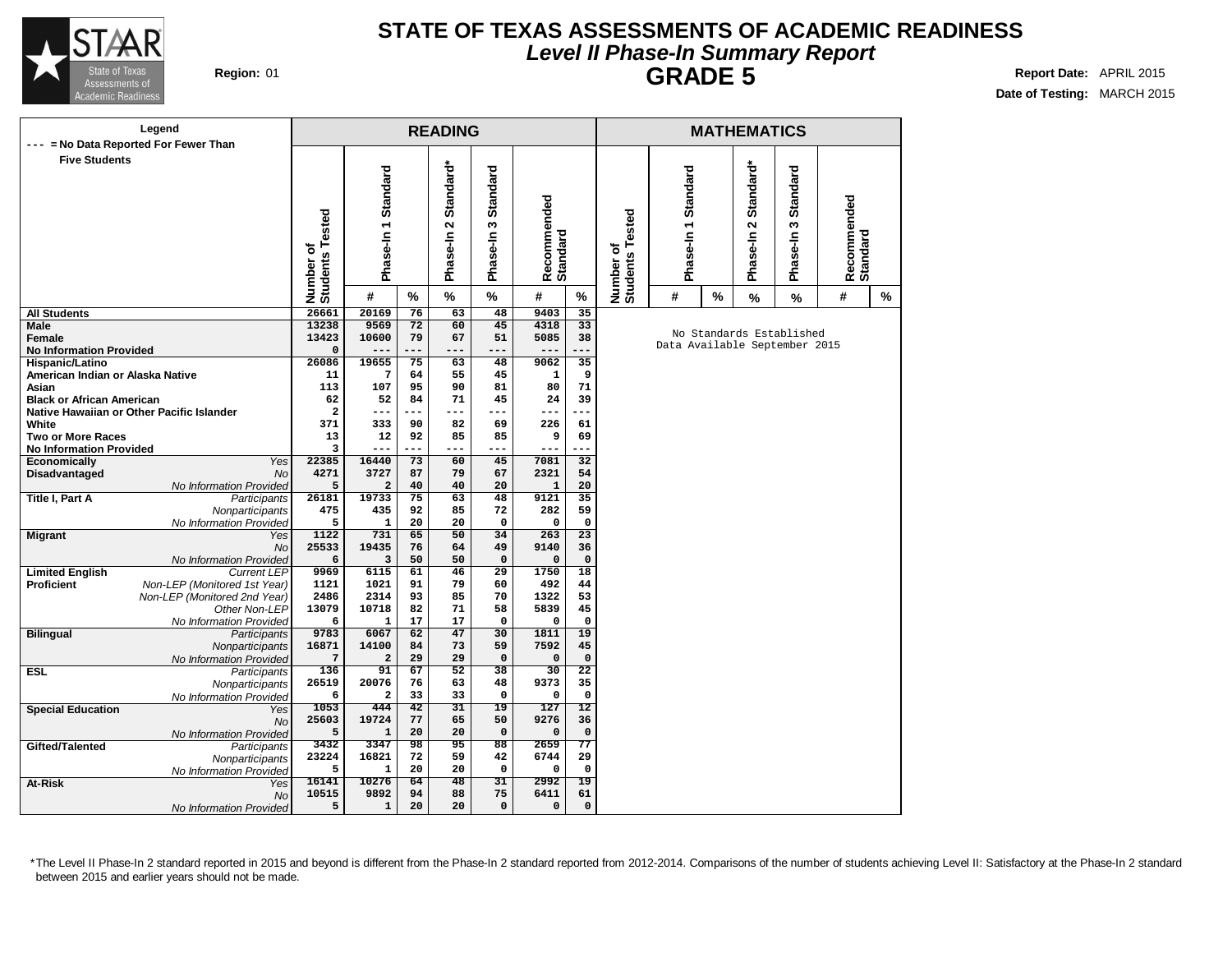

## **STATE OF TEXAS ASSESSMENTS OF ACADEMIC READINESS Level II Phase-In Summary Report GRADE 5 Report Date:** APRIL 2015

**Date of Testing:** MARCH 2015

|                                                   | Legend                                     |                              |                     |                 | <b>READING</b>                 |                   |                         |                                |                              |                               |      | <b>MATHEMATICS</b>                |                           |                         |   |
|---------------------------------------------------|--------------------------------------------|------------------------------|---------------------|-----------------|--------------------------------|-------------------|-------------------------|--------------------------------|------------------------------|-------------------------------|------|-----------------------------------|---------------------------|-------------------------|---|
|                                                   | --- = No Data Reported For Fewer Than      |                              |                     |                 |                                |                   |                         |                                |                              |                               |      |                                   |                           |                         |   |
| <b>Five Students</b>                              |                                            | Number of<br>Students Tested | Phase-In 1 Standard |                 | Standard*<br>$\mathbf{\Omega}$ | Standard<br>w     | Recommended<br>Standard |                                | Number of<br>Students Tested | Phase-In 1 Standard           |      | Standard*<br>$\mathbf{\tilde{c}}$ | <b>Standard</b><br>$\sim$ | Recommended<br>Standard |   |
|                                                   |                                            |                              |                     |                 | Phase-In                       | Phase-In          |                         |                                |                              |                               |      | Phase-In                          | Phase-In                  |                         |   |
|                                                   |                                            |                              |                     |                 |                                |                   |                         |                                |                              |                               |      |                                   |                           |                         |   |
|                                                   |                                            |                              | #                   | %               | %                              | $\%$              | #                       | %                              |                              | #                             | $\%$ | %                                 | $\frac{9}{6}$             | #                       | % |
| All Students                                      |                                            | 26661                        | 20169               | 76              | 63                             | 48                | 9403                    | 35                             |                              |                               |      |                                   |                           |                         |   |
| Male                                              |                                            | 13238                        | 9569                | 72              | 60                             | 45                | 4318                    | 33                             |                              |                               |      |                                   | No Standards Established  |                         |   |
| Female                                            |                                            | 13423                        | 10600               | 79              | 67                             | 51                | 5085                    | 38                             |                              | Data Available September 2015 |      |                                   |                           |                         |   |
| <b>No Information Provided</b><br>Hispanic/Latino |                                            | 0<br>26086                   | $---$<br>19655      | ---<br>75       | ---<br>63                      | ---<br>48         | $---$<br>9062           | .<br>$\overline{35}$           |                              |                               |      |                                   |                           |                         |   |
| American Indian or Alaska Native                  |                                            | 11                           | 7                   | 64              | 55                             | 45                | 1                       | 9                              |                              |                               |      |                                   |                           |                         |   |
| Asian                                             |                                            | 113                          | 107                 | 95              | 90                             | 81                | 80                      | 71                             |                              |                               |      |                                   |                           |                         |   |
| <b>Black or African American</b>                  |                                            | 62                           | 52                  | 84              | 71                             | 45                | 24                      | 39                             |                              |                               |      |                                   |                           |                         |   |
|                                                   | Native Hawaiian or Other Pacific Islander  | $\overline{\mathbf{2}}$      | ---                 | ---             | ---                            | ---               | ---                     | <u>. .</u>                     |                              |                               |      |                                   |                           |                         |   |
| White                                             |                                            | 371                          | 333                 | 90              | 82                             | 69                | 226                     | 61                             |                              |                               |      |                                   |                           |                         |   |
| <b>Two or More Races</b>                          |                                            | 13                           | 12                  | 92              | 85                             | 85                | 9                       | 69                             |                              |                               |      |                                   |                           |                         |   |
| <b>No Information Provided</b>                    |                                            | 3                            | $- -$               | ---             | ---                            | ---               | $--$                    | <u>.</u>                       |                              |                               |      |                                   |                           |                         |   |
| Economically                                      | Yes                                        | 22385                        | 16440               | 73              | 60                             | 45                | 7081                    | 32                             |                              |                               |      |                                   |                           |                         |   |
| Disadvantaged                                     | <b>No</b>                                  | 4271                         | 3727                | 87              | 79                             | 67                | 2321                    | 54                             |                              |                               |      |                                   |                           |                         |   |
|                                                   | No Information Provided                    | 5                            | $\overline{a}$      | 40              | 40                             | 20                | $\mathbf{1}$            | 20                             |                              |                               |      |                                   |                           |                         |   |
| Title I, Part A                                   | Participants                               | 26181                        | 19733               | $\overline{75}$ | 63                             | 48                | 9121                    | 35                             |                              |                               |      |                                   |                           |                         |   |
|                                                   | Nonparticipants                            | 475<br>5                     | 435<br>$\mathbf{1}$ | 92<br>20        | 85<br>20                       | 72<br>$\mathbf 0$ | 282<br>$\Omega$         | 59<br>$\mathbf 0$              |                              |                               |      |                                   |                           |                         |   |
| <b>Migrant</b>                                    | No Information Provided<br>Yes             | 1122                         | 731                 | 65              | $\overline{50}$                | 34                | 263                     | 23                             |                              |                               |      |                                   |                           |                         |   |
|                                                   | <b>No</b>                                  | 25533                        | 19435               | 76              | 64                             | 49                | 9140                    | 36                             |                              |                               |      |                                   |                           |                         |   |
|                                                   | No Information Provided                    | 6                            | 3                   | 50              | 50                             | $\mathsf{o}\,$    | $\mathbf 0$             | $\mathbf{o}$                   |                              |                               |      |                                   |                           |                         |   |
| <b>Limited English</b>                            | <b>Current LEP</b>                         | 9969                         | 6115                | 61              | 46                             | $\overline{29}$   | 1750                    | 18                             |                              |                               |      |                                   |                           |                         |   |
| Proficient                                        | Non-LEP (Monitored 1st Year)               | 1121                         | 1021                | 91              | 79                             | 60                | 492                     | 44                             |                              |                               |      |                                   |                           |                         |   |
|                                                   | Non-LEP (Monitored 2nd Year)               | 2486                         | 2314                | 93              | 85                             | 70                | 1322                    | 53                             |                              |                               |      |                                   |                           |                         |   |
|                                                   | Other Non-LEP                              | 13079                        | 10718               | 82              | 71                             | 58                | 5839                    | 45                             |                              |                               |      |                                   |                           |                         |   |
|                                                   | No Information Provided                    | 6                            | 1                   | 17              | 17                             | $\mathbf 0$       | 0                       | $\mathbf 0$                    |                              |                               |      |                                   |                           |                         |   |
| <b>Bilingual</b>                                  | Participants                               | 9783                         | 6067                | 62              | 47                             | 30                | 1811                    | 19                             |                              |                               |      |                                   |                           |                         |   |
|                                                   | Nonparticipants                            | 16871                        | 14100               | 84              | 73                             | 59                | 7592                    | 45                             |                              |                               |      |                                   |                           |                         |   |
|                                                   | No Information Provided                    | 7<br>136                     | $\mathbf{2}$<br>91  | 29<br>67        | 29<br>$\overline{52}$          | $\mathbf 0$<br>38 | $\mathbf 0$<br>30       | $\mathbf 0$<br>$\overline{22}$ |                              |                               |      |                                   |                           |                         |   |
| ESL                                               | Participants                               | 26519                        | 20076               | 76              | 63                             | 48                | 9373                    | 35                             |                              |                               |      |                                   |                           |                         |   |
|                                                   | Nonparticipants<br>No Information Provided | 6                            | $\mathbf{2}$        | 33              | 33                             | $\mathbf 0$       | 0                       | $\mathbf 0$                    |                              |                               |      |                                   |                           |                         |   |
| <b>Special Education</b>                          | Yes                                        | 1053                         | 444                 | 42              | 31                             | 19                | 127                     | $12 \,$                        |                              |                               |      |                                   |                           |                         |   |
|                                                   | <b>No</b>                                  | 25603                        | 19724               | 77              | 65                             | 50                | 9276                    | 36                             |                              |                               |      |                                   |                           |                         |   |
|                                                   | No Information Provided                    | 5                            | $\mathbf{1}$        | 20              | 20                             | $\mathbf 0$       | $\mathbf 0$             | $\mathsf{o}\,$                 |                              |                               |      |                                   |                           |                         |   |
| Gifted/Talented                                   | Participants                               | 3432                         | 3347                | 98              | 95                             | $\overline{88}$   | 2659                    | 77                             |                              |                               |      |                                   |                           |                         |   |
|                                                   | Nonparticipants                            | 23224                        | 16821               | 72              | 59                             | 42                | 6744                    | 29                             |                              |                               |      |                                   |                           |                         |   |
|                                                   | No Information Provided                    | 5                            | $\mathbf{1}$        | 20              | 20                             | $\mathbf 0$       | 0                       | $\mathsf{o}\,$                 |                              |                               |      |                                   |                           |                         |   |
| At-Risk                                           | Yes                                        | 16141                        | 10276               | 64              | 48                             | $\overline{31}$   | 2992                    | 19                             |                              |                               |      |                                   |                           |                         |   |
|                                                   | No                                         | 10515                        | 9892                | 94              | 88                             | 75                | 6411                    | 61                             |                              |                               |      |                                   |                           |                         |   |
|                                                   | No Information Provided                    | 5                            | ${\bf 1}$           | 20              | 20                             | $\mathbf 0$       | 0                       | $\mathsf{o}\,$                 |                              |                               |      |                                   |                           |                         |   |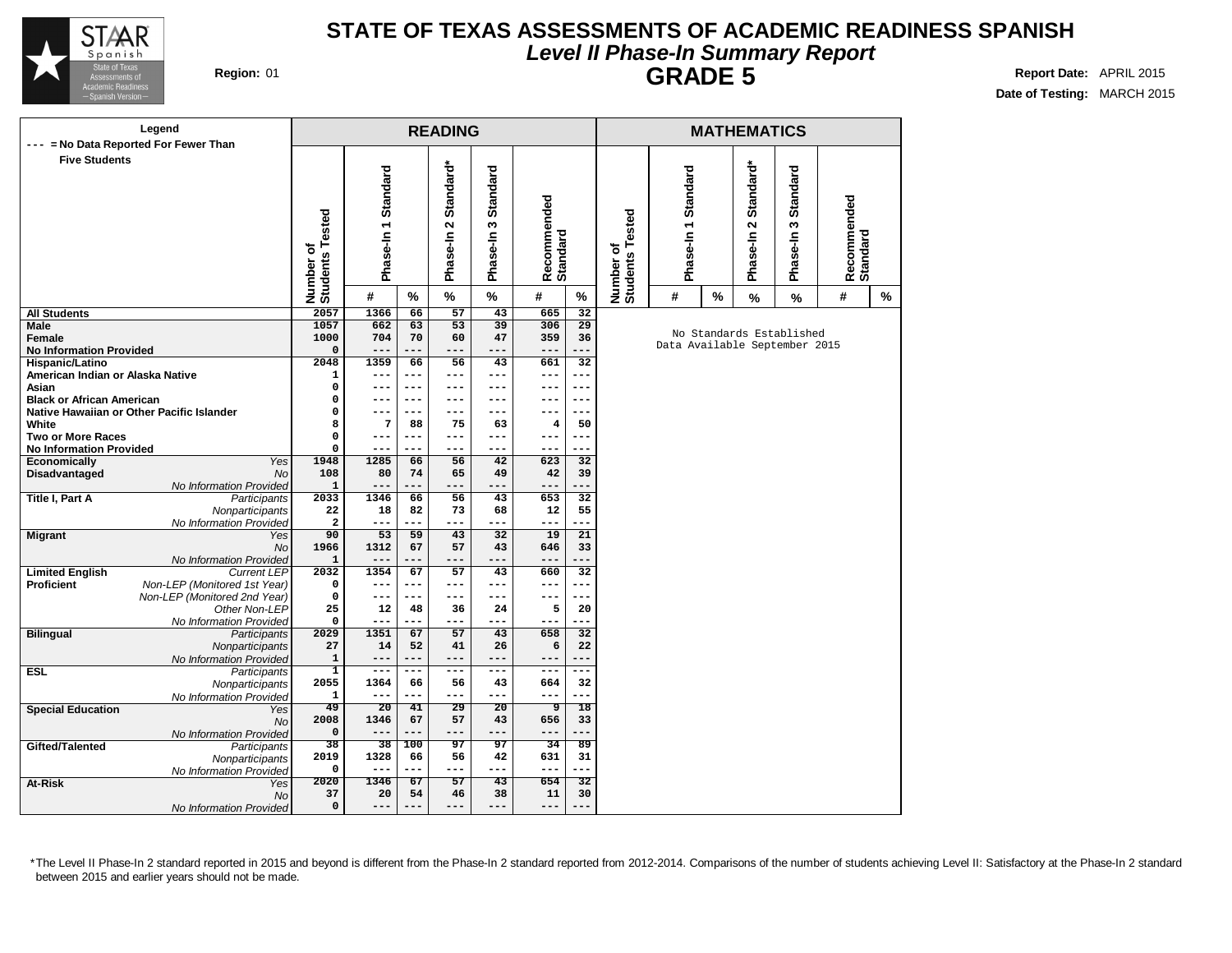

### **STATE OF TEXAS ASSESSMENTS OF ACADEMIC READINESS SPANISH Level II Phase-In Summary Report GRADE 5 Region:** 01 **Report Date:** APRIL 2015

**Date of Testing:** MARCH 2015

### **READING Phase-In 1 Standard Phase-In 2 Standard\* Phase-In Recom mended Standard Number of Students Tested # % % % # % Legend --- = No Data Reported For Fewer Than Five Students All Students Male Female No Information Provided Hispanic/Latino American Indian or Alaska Native Asian Black or African American Native Hawaiian or Other Pacific Islander White Two or More Races No Information Provided Economically** Yes **Disadvantaged** No No Information Provided **Title I, Part A** Participants **Nonparticipants** No Information Provided **Migrant** Yes No No Information Provided **Limited English Proficient** Non-LEP (Monitored 1st Year) Non-LEP (Monitored 2nd Year) Other Non-LEP No Information Provided **Bilingual** Participants **Nonparticipants** No Information Provided **ESL** Participants **Nonparticipants** No Information Provided **Special Education** Yes No No Information Provided **Gifted/Talented Nonparticipants** No Information Provided **At-Risk** Yes No No Information Provided **2057 1366 66 57 43 665 32 1057 662 63 53 39 306 29 1000 704 70 60 47 359 36 0 --- --- --- --- --- --- 2048 1359 66 56 43 661 32 1 --- --- --- --- --- --- 0 --- --- --- --- --- --- 0 --- --- --- --- --- --- 0 --- --- --- --- --- --- 8 7 88 75 63 4 50 0 --- --- --- --- --- --- 0 --- --- --- --- --- --- 1948 1285 66 56 42 623 32 108 80 74 65 49 42 39 1 --- --- --- --- --- --- 2033 1346 66 56 43 653 32 22 18 82 73 68 12 55 2 --- --- --- --- --- --- 90 53 59 43 32 19 21 1966 1312 67 57 43 646 33 1 --- --- --- --- --- --- 2032 1354 67 57 43 660 32 0 --- --- --- --- --- --- 0 --- --- --- --- --- --- 25 12 48 36 24 5 20 0 --- --- --- --- --- --- 2029 1351 67 57 43 658 32 27 14 52 41 26 6 22 1 --- --- --- --- --- --- 1 --- --- --- --- --- --- 2055 1364 66 56 43 664 32 1 --- --- --- --- --- --- 49 20 41 29 20 9 18 2008 1346 67 57 43 656 33 0 --- --- --- --- --- --- 38 38 100 97 97 34 89 2019 1328 66 56 42 631 31 0 --- --- --- --- --- --- 2020 1346 67 57 43 654 32 37 20 54 46 38 11 30 0 --- --- --- --- --- --- MATHEMATICS Number of Students Tested Phase-In 1 Standard Phase-In 3 Standard Phase-In 2 Standard\* Recom mended Standard # % % % # %** No Standards Established Data Available September 2015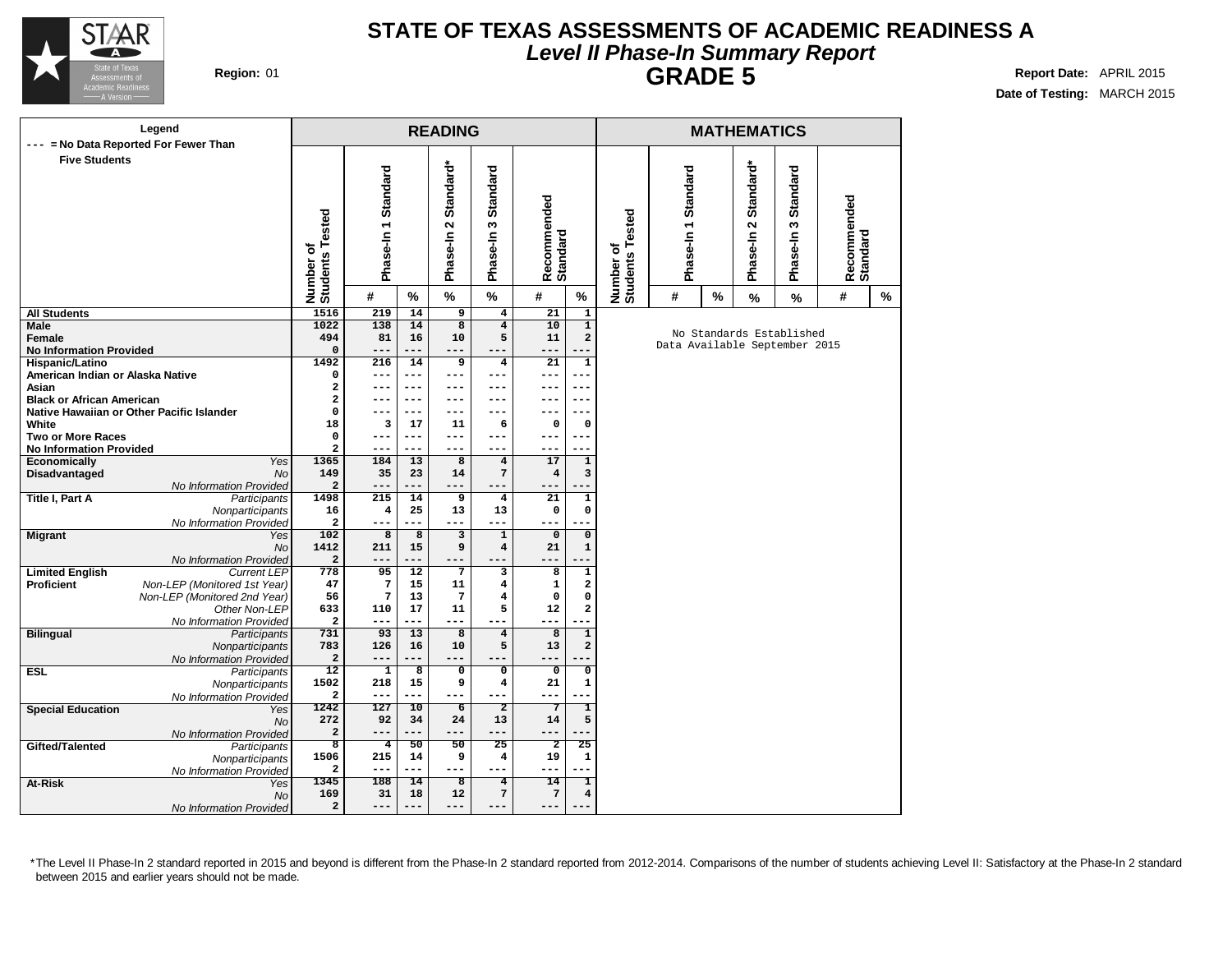

## **STATE OF TEXAS ASSESSMENTS OF ACADEMIC READINESS A Level II Phase-In Summary Report GRADE 5 Report Date:** APRIL 2015

**Date of Testing:** MARCH 2015

| Legend                                                      |                                |                     |                 | <b>READING</b>                  |                                   |                         |                         |                                      |                               |   | <b>MATHEMATICS</b>                            |                                       |                         |               |
|-------------------------------------------------------------|--------------------------------|---------------------|-----------------|---------------------------------|-----------------------------------|-------------------------|-------------------------|--------------------------------------|-------------------------------|---|-----------------------------------------------|---------------------------------------|-------------------------|---------------|
| = No Data Reported For Fewer Than<br>$\qquad \qquad - -$    |                                |                     |                 |                                 |                                   |                         |                         |                                      |                               |   |                                               |                                       |                         |               |
| <b>Five Students</b>                                        | Number of<br>Students Tested   | Phase-In 1 Standard |                 | Standard*<br>$\sim$<br>Phase-In | Standard<br>S<br>Phase-In         | Recommended<br>Standard |                         | Tested<br>٥<br>Number of<br>Students | Phase-In 1 Standard           |   | Standard*<br>$\mathbf{\tilde{N}}$<br>Phase-In | <b>Standard</b><br>$\sim$<br>Phase-In | Recommended<br>Standard |               |
|                                                             |                                | #                   | $\%$            | $\%$                            | $\frac{1}{2}$                     | #                       | $\%$                    |                                      | #                             | % | $\frac{9}{6}$                                 | $\frac{9}{6}$                         | #                       | $\frac{9}{6}$ |
| <b>All Students</b>                                         | 1516                           | 219                 | 14              | $\overline{9}$                  | $\overline{4}$                    | 21                      | $\overline{\mathbf{1}}$ |                                      |                               |   |                                               |                                       |                         |               |
| Male                                                        | 1022                           | 138                 | 14              | $\overline{8}$                  | $\overline{4}$                    | 10                      | $\overline{1}$          |                                      |                               |   |                                               |                                       |                         |               |
| Female                                                      | 494                            | 81                  | 16              | 10                              | 5                                 | 11                      | $\mathbf{2}$            |                                      |                               |   |                                               | No Standards Established              |                         |               |
| <b>No Information Provided</b>                              | 0                              | $---$               | ---             | $---$                           | ---                               | $- -$                   |                         |                                      | Data Available September 2015 |   |                                               |                                       |                         |               |
| Hispanic/Latino                                             | 1492                           | 216                 | 14              | 9                               | $\overline{\mathbf{4}}$           | 21                      | 1                       |                                      |                               |   |                                               |                                       |                         |               |
| American Indian or Alaska Native                            | 0                              | $---$               | ---             | $---$                           | $---$                             | ---                     | ---                     |                                      |                               |   |                                               |                                       |                         |               |
| Asian                                                       | 2                              |                     | ---             | ---                             | ---                               | ---                     | $- -$                   |                                      |                               |   |                                               |                                       |                         |               |
| <b>Black or African American</b>                            | 2                              |                     | ---             | ---                             | ---                               | ---                     | ---                     |                                      |                               |   |                                               |                                       |                         |               |
| Native Hawaiian or Other Pacific Islander<br>White          | 0<br>18                        |                     | $--$<br>17      | $---$<br>11                     | ---                               | $\Omega$                | ---<br>$\mathbf 0$      |                                      |                               |   |                                               |                                       |                         |               |
| <b>Two or More Races</b>                                    | 0                              | 3<br>$---$          | $---$           | ---                             | 6<br>$---$                        | ---                     | ---                     |                                      |                               |   |                                               |                                       |                         |               |
| <b>No Information Provided</b>                              | 2                              | $- - -$             | ---             | $- - -$                         | ---                               | ---                     | ---                     |                                      |                               |   |                                               |                                       |                         |               |
| Economically<br><b>Yes</b>                                  | 1365                           | 184                 | 13              | $\overline{8}$                  | $\overline{4}$                    | 17                      | $\mathbf{1}$            |                                      |                               |   |                                               |                                       |                         |               |
| Disadvantaged<br><b>No</b>                                  | 149                            | 35                  | 23              | 14                              | $\overline{7}$                    | 4                       | 3                       |                                      |                               |   |                                               |                                       |                         |               |
| No Information Provided                                     | 2                              | $- -$               | ---             | ---                             | ---                               |                         |                         |                                      |                               |   |                                               |                                       |                         |               |
| Title I, Part A<br>Participants                             | 1498                           | 215                 | 14              | 9                               | $\overline{\mathbf{4}}$           | 21                      | $\mathbf{1}$            |                                      |                               |   |                                               |                                       |                         |               |
| Nonparticipants                                             | 16                             | 4                   | 25              | 13                              | 13                                | 0                       | $\mathbf 0$             |                                      |                               |   |                                               |                                       |                         |               |
| No Information Provided                                     | $\overline{\mathbf{2}}$        | $---$               | ---             | $---$                           | $---$                             |                         |                         |                                      |                               |   |                                               |                                       |                         |               |
| <b>Migrant</b><br>Yes                                       | 102                            | 8                   | 8               | $\overline{\mathbf{3}}$         | $\mathbf{1}$                      | $\mathbf 0$             | $\mathbf 0$             |                                      |                               |   |                                               |                                       |                         |               |
| <b>No</b>                                                   | 1412                           | 211                 | 15              | 9                               | $\overline{\mathbf{4}}$           | 21                      | $\mathbf{1}$            |                                      |                               |   |                                               |                                       |                         |               |
| No Information Provided                                     | $\overline{\mathbf{2}}$        | $---$               | ---             | $---$                           | ---                               | ---                     |                         |                                      |                               |   |                                               |                                       |                         |               |
| <b>Limited English</b><br><b>Current LEP</b>                | 778                            | 95                  | $\overline{12}$ | $\overline{7}$                  | $\overline{\mathbf{3}}$           | 8                       | $\overline{1}$          |                                      |                               |   |                                               |                                       |                         |               |
| Non-LEP (Monitored 1st Year)<br>Proficient                  | 47                             | 7                   | 15              | ${\bf 11}$                      | $\overline{\mathbf{4}}$           | 1                       | $\mathbf 2$             |                                      |                               |   |                                               |                                       |                         |               |
| Non-LEP (Monitored 2nd Year)                                | 56                             | 7                   | 13              | 7                               | $\overline{\mathbf{4}}$           | 0                       | 0                       |                                      |                               |   |                                               |                                       |                         |               |
| Other Non-LEP                                               | 633<br>$\overline{\mathbf{2}}$ | 110<br>$---$        | 17<br>---       | 11<br>---                       | 5<br>---                          | 12<br>---               | $\overline{\mathbf{2}}$ |                                      |                               |   |                                               |                                       |                         |               |
| No Information Provided<br><b>Bilingual</b><br>Participants | 731                            | 93                  | 13              | $\overline{8}$                  | $\overline{4}$                    | $\overline{8}$          | $\overline{1}$          |                                      |                               |   |                                               |                                       |                         |               |
| Nonparticipants                                             | 783                            | 126                 | 16              | 10                              | 5                                 | 13                      | $\mathbf 2$             |                                      |                               |   |                                               |                                       |                         |               |
| No Information Provided                                     | $\overline{\mathbf{2}}$        | --                  | ---             | ---                             | ---                               | ---                     |                         |                                      |                               |   |                                               |                                       |                         |               |
| <b>ESL</b><br>Participants                                  | $\overline{12}$                | $\mathbf 1$         | 8               | $\overline{\mathbf{0}}$         | $\overline{\mathbf{0}}$           | 0                       | $\overline{0}$          |                                      |                               |   |                                               |                                       |                         |               |
| Nonparticipants                                             | 1502                           | 218                 | 15              | 9                               | $\overline{\mathbf{4}}$           | 21                      | 1                       |                                      |                               |   |                                               |                                       |                         |               |
| No Information Provided                                     | $\overline{\mathbf{2}}$        | $- - -$             | ---             | $- - -$                         | $\qquad \qquad - -$               | ---                     | ---                     |                                      |                               |   |                                               |                                       |                         |               |
| <b>Special Education</b><br>Yes                             | 1242                           | 127                 | 10              | $\overline{6}$                  | $\overline{2}$                    | 7                       | T                       |                                      |                               |   |                                               |                                       |                         |               |
| <b>No</b>                                                   | 272                            | 92                  | 34              | 24                              | 13                                | 14                      | 5                       |                                      |                               |   |                                               |                                       |                         |               |
| No Information Provided                                     | 2                              | $---$               | ---             | $---$                           | ---                               | ---                     | ---                     |                                      |                               |   |                                               |                                       |                         |               |
| Gifted/Talented<br>Participants                             | $\overline{\mathbf{8}}$        | $\overline{4}$      | 50              | 50                              | 25                                | $\overline{2}$          | $\overline{25}$         |                                      |                               |   |                                               |                                       |                         |               |
| Nonparticipants                                             | 1506                           | 215                 | 14              | 9                               | $\bf{4}$                          | 19                      | 1                       |                                      |                               |   |                                               |                                       |                         |               |
| No Information Provided                                     | $\mathbf{2}$                   | $---$               | ---             | $---$                           | $---$                             | ---                     | ---                     |                                      |                               |   |                                               |                                       |                         |               |
| At-Risk<br>Yes<br><b>No</b>                                 | 1345<br>169                    | 188<br>31           | 14<br>18        | ड<br>12                         | $\overline{4}$<br>$7\phantom{.0}$ | 14<br>$\sqrt{7}$        | T<br>4                  |                                      |                               |   |                                               |                                       |                         |               |
| No Information Provided                                     | 2                              | ---                 | ---             | ---                             | ---                               | ---                     |                         |                                      |                               |   |                                               |                                       |                         |               |
|                                                             |                                |                     |                 |                                 |                                   |                         |                         |                                      |                               |   |                                               |                                       |                         |               |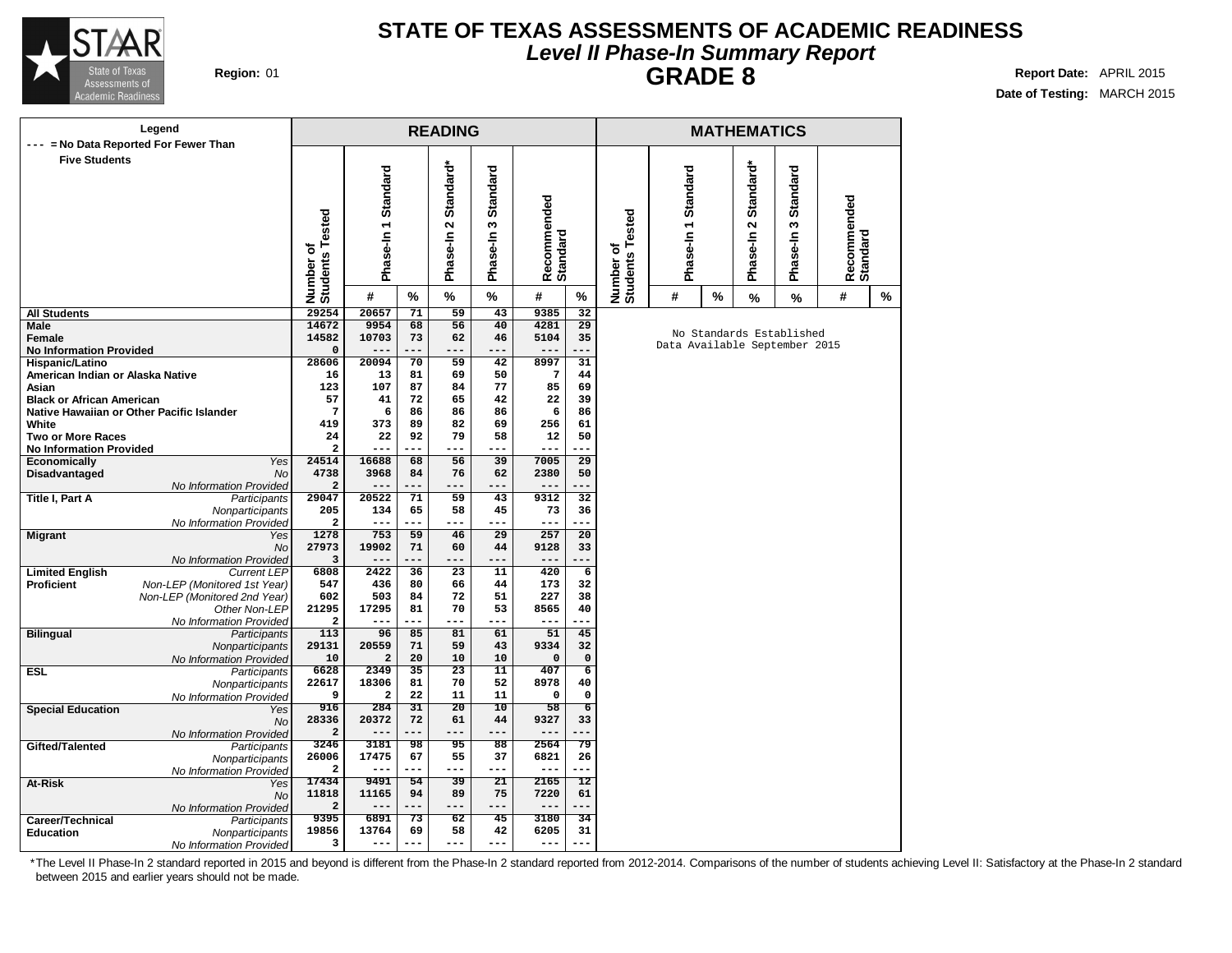

## **STATE OF TEXAS ASSESSMENTS OF ACADEMIC READINESS Level II Phase-In Summary Report GRADE 8 Report Date:** APRIL 2015

**Date of Testing:** MARCH 2015

|                                                     | Legend                                    |                                  |                         |           | <b>READING</b>    |                 |                         |                      |                              |                               |      | <b>MATHEMATICS</b>   |                          |                         |   |
|-----------------------------------------------------|-------------------------------------------|----------------------------------|-------------------------|-----------|-------------------|-----------------|-------------------------|----------------------|------------------------------|-------------------------------|------|----------------------|--------------------------|-------------------------|---|
| $---$                                               | = No Data Reported For Fewer Than         |                                  |                         |           |                   |                 |                         |                      |                              |                               |      |                      |                          |                         |   |
| <b>Five Students</b>                                |                                           |                                  |                         |           |                   |                 |                         |                      |                              |                               |      |                      |                          |                         |   |
|                                                     |                                           |                                  |                         |           |                   |                 |                         |                      |                              |                               |      |                      |                          |                         |   |
|                                                     |                                           |                                  | Phase-In 1 Standard     |           | Standard*         | Standard        |                         |                      |                              | Phase-In 1 Standard           |      | Standard*            | Standard                 |                         |   |
|                                                     |                                           |                                  |                         |           |                   |                 | Recommended<br>Standard |                      |                              |                               |      |                      |                          | Recommended<br>Standard |   |
|                                                     |                                           |                                  |                         |           | $\mathbf{\Omega}$ | w               |                         |                      |                              |                               |      | $\mathbf{\tilde{c}}$ | S                        |                         |   |
|                                                     |                                           |                                  |                         |           | Phase-In          | Phase-In        |                         |                      |                              |                               |      | Phase-In             | Phase-In                 |                         |   |
|                                                     |                                           |                                  |                         |           |                   |                 |                         |                      |                              |                               |      |                      |                          |                         |   |
|                                                     |                                           |                                  |                         |           |                   |                 |                         |                      |                              |                               |      |                      |                          |                         |   |
|                                                     |                                           | Number of<br>Students Tested     | #                       | %         | %                 | %               | #                       | $\%$                 | Number of<br>Students Tested | #                             | $\%$ | $\frac{0}{0}$        | %                        | #                       | % |
| <b>All Students</b>                                 |                                           | 29254                            | 20657                   | 71        | 59                | 43              | 9385                    | 32                   |                              |                               |      |                      |                          |                         |   |
| <b>Male</b>                                         |                                           | 14672                            | 9954                    | 68        | 56                | 40              | 4281                    | 29                   |                              |                               |      |                      |                          |                         |   |
| Female                                              |                                           | 14582                            | 10703                   | 73        | 62                | 46              | 5104                    | 35                   |                              | Data Available September 2015 |      |                      | No Standards Established |                         |   |
| <b>No Information Provided</b>                      |                                           | $\mathbf 0$                      |                         |           | ---               | ---             | ---                     | ---                  |                              |                               |      |                      |                          |                         |   |
| Hispanic/Latino<br>American Indian or Alaska Native |                                           | 28606<br>16                      | 20094                   | 70<br>81  | 59<br>69          | 42<br>50        | 8997<br>7               | 31<br>44             |                              |                               |      |                      |                          |                         |   |
| Asian                                               |                                           | 123                              | 13<br>107               | 87        | 84                | 77              | 85                      | 69                   |                              |                               |      |                      |                          |                         |   |
| <b>Black or African American</b>                    |                                           | 57                               | 41                      | 72        | 65                | 42              | 22                      | 39                   |                              |                               |      |                      |                          |                         |   |
|                                                     | Native Hawaiian or Other Pacific Islander | 7                                | 6                       | 86        | 86                | 86              | 6                       | 86                   |                              |                               |      |                      |                          |                         |   |
| White                                               |                                           | 419                              | 373                     | 89        | 82                | 69              | 256                     | 61                   |                              |                               |      |                      |                          |                         |   |
| <b>Two or More Races</b>                            |                                           | 24                               | 22                      | 92        | 79                | 58              | 12                      | 50                   |                              |                               |      |                      |                          |                         |   |
| <b>No Information Provided</b>                      |                                           | $\overline{\mathbf{c}}$<br>24514 |                         |           | ---<br>56         | ---<br>39       | 7005                    |                      |                              |                               |      |                      |                          |                         |   |
| Economically<br>Disadvantaged                       | Yes<br>No                                 | 4738                             | 16688<br>3968           | 68<br>84  | 76                | 62              | 2380                    | 29<br>50             |                              |                               |      |                      |                          |                         |   |
|                                                     | No Information Provided                   | 2                                | $---$                   |           | ---               | ---             | $---$                   |                      |                              |                               |      |                      |                          |                         |   |
| <b>Title I, Part A</b>                              | Participants                              | 29047                            | 20522                   | 71        | 59                | 43              | 9312                    | 32                   |                              |                               |      |                      |                          |                         |   |
|                                                     | Nonparticipants                           | 205                              | 134                     | 65        | 58                | 45              | 73                      | 36                   |                              |                               |      |                      |                          |                         |   |
|                                                     | No Information Provided                   | $\overline{a}$                   | $---$                   |           | ---               | ---             | ---                     | ---                  |                              |                               |      |                      |                          |                         |   |
| <b>Migrant</b>                                      | Yes                                       | 1278                             | 753                     | 59        | 46                | 29              | 257                     | 20                   |                              |                               |      |                      |                          |                         |   |
|                                                     | No<br>No Information Provided             | 27973<br>3                       | 19902                   | 71        | 60                | 44              | 9128                    | 33                   |                              |                               |      |                      |                          |                         |   |
| <b>Limited English</b>                              | <b>Current LEP</b>                        | 6808                             | 2422                    | 36        | $\overline{23}$   | 11              | 420                     | 6                    |                              |                               |      |                      |                          |                         |   |
| Proficient                                          | Non-LEP (Monitored 1st Year)              | 547                              | 436                     | 80        | 66                | 44              | 173                     | 32                   |                              |                               |      |                      |                          |                         |   |
|                                                     | Non-LEP (Monitored 2nd Year)              | 602                              | 503                     | 84        | 72                | 51              | 227                     | 38                   |                              |                               |      |                      |                          |                         |   |
|                                                     | Other Non-LEP                             | 21295                            | 17295                   | 81        | 70                | 53              | 8565                    | 40                   |                              |                               |      |                      |                          |                         |   |
|                                                     | No Information Provided                   | $\mathbf{2}$<br>113              | $---$<br>96             | 85        | ---<br>81         | ---<br>61       | ---<br>51               | 45                   |                              |                               |      |                      |                          |                         |   |
| <b>Bilingual</b>                                    | Participants<br>Nonparticipants           | 29131                            | 20559                   | 71        | 59                | 43              | 9334                    | 32                   |                              |                               |      |                      |                          |                         |   |
|                                                     | No Information Provided                   | 10                               | $\mathbf{2}$            | 20        | 10                | 10              | $\mathbf 0$             | 0                    |                              |                               |      |                      |                          |                         |   |
| <b>ESL</b>                                          | Participants                              | 6628                             | 2349                    | 35        | 23                | 11              | 407                     | $\overline{6}$       |                              |                               |      |                      |                          |                         |   |
|                                                     | Nonparticipants                           | 22617                            | 18306                   | 81        | 70                | 52              | 8978                    | 40                   |                              |                               |      |                      |                          |                         |   |
|                                                     | No Information Provided                   | 9                                | $\overline{\mathbf{2}}$ | 22        | 11                | 11              | $\mathbf 0$             | $\mathbf 0$          |                              |                               |      |                      |                          |                         |   |
| <b>Special Education</b>                            | Yes                                       | 916<br>28336                     | 284<br>20372            | 31<br>72  | 20<br>61          | 10<br>44        | 58<br>9327              | $\overline{6}$<br>33 |                              |                               |      |                      |                          |                         |   |
|                                                     | No                                        | $\overline{a}$                   | $---$                   |           | ---               | ---             | ---                     | ---                  |                              |                               |      |                      |                          |                         |   |
| Gifted/Talented                                     | No Information Provided<br>Participants   | 3246                             | 3181                    | 98        | $\overline{95}$   | $\overline{88}$ | 2564                    | 79                   |                              |                               |      |                      |                          |                         |   |
|                                                     | Nonparticipants                           | 26006                            | 17475                   | 67        | 55                | 37              | 6821                    | 26                   |                              |                               |      |                      |                          |                         |   |
|                                                     | No Information Provided                   | $\overline{\mathbf{2}}$          | $---$                   | $= -$     | ---               | ---             | $---$                   | ---                  |                              |                               |      |                      |                          |                         |   |
| At-Risk                                             | Yes                                       | 17434                            | 9491                    | 54        | 39                | $\overline{21}$ | 2165                    | 12                   |                              |                               |      |                      |                          |                         |   |
|                                                     | <b>No</b>                                 | 11818                            | 11165                   | 94        | 89                | 75              | 7220                    | 61                   |                              |                               |      |                      |                          |                         |   |
|                                                     | No Information Provided                   | $\overline{a}$<br>9395           | $---$<br>6891           | ---<br>73 | ---<br>62         | ---<br>45       | ---<br>3180             | ---<br>34            |                              |                               |      |                      |                          |                         |   |
| Career/Technical<br><b>Education</b>                | Participants<br>Nonparticipants           | 19856                            | 13764                   | 69        | 58                | 42              | 6205                    | 31                   |                              |                               |      |                      |                          |                         |   |
|                                                     | No Information Provided                   | 3                                | $- -$                   | ---       | ---               | ---             | ---                     | ---                  |                              |                               |      |                      |                          |                         |   |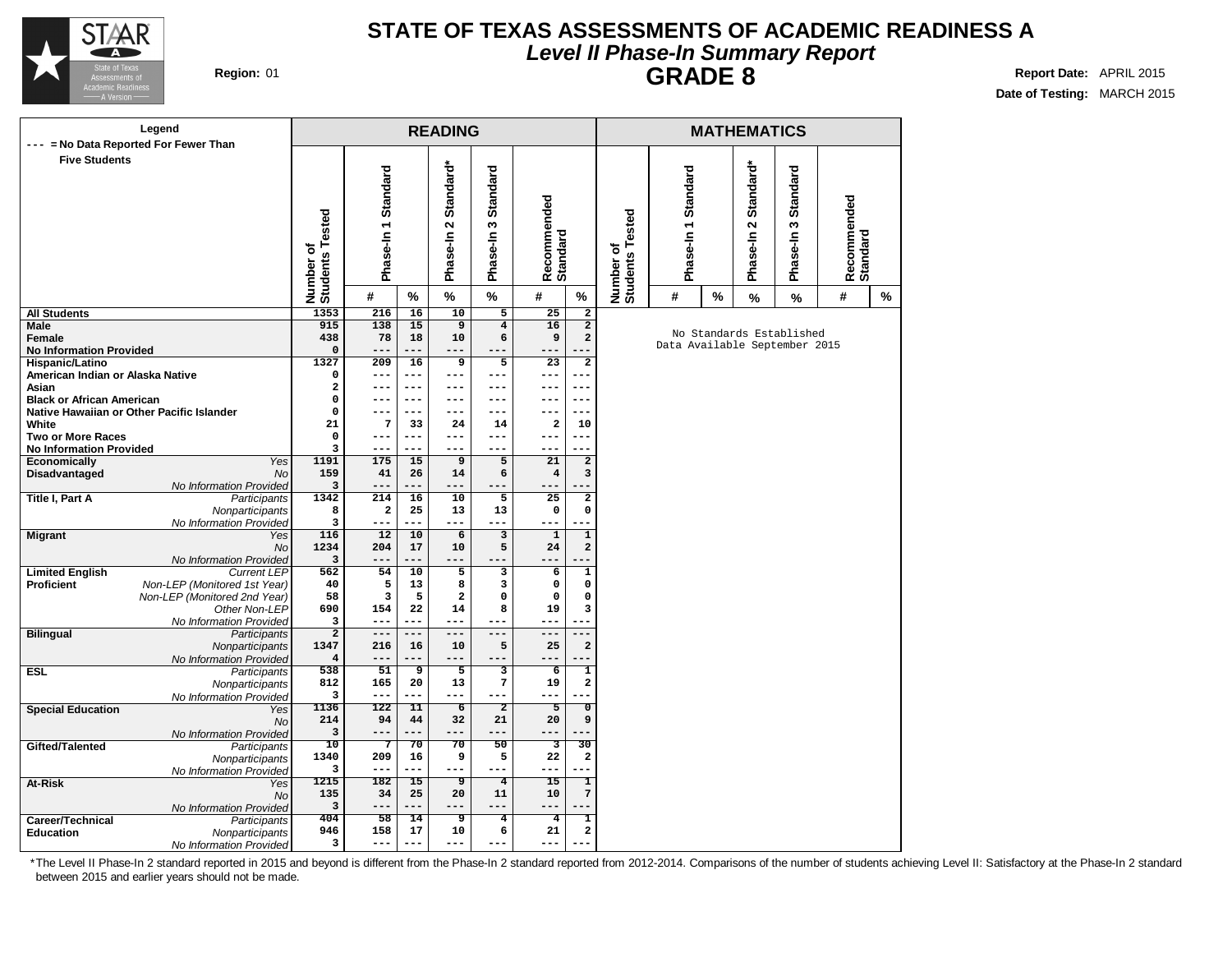

## **STATE OF TEXAS ASSESSMENTS OF ACADEMIC READINESS A Level II Phase-In Summary Report GRADE 8 Report Date:** APRIL 2015

**Date of Testing:** MARCH 2015

|                                                   | Legend                                                     |                                |                         |                 | <b>READING</b>                             |                              |                               |                                        |                              |                               |      | <b>MATHEMATICS</b>                           |                                                      |                         |   |
|---------------------------------------------------|------------------------------------------------------------|--------------------------------|-------------------------|-----------------|--------------------------------------------|------------------------------|-------------------------------|----------------------------------------|------------------------------|-------------------------------|------|----------------------------------------------|------------------------------------------------------|-------------------------|---|
|                                                   | = No Data Reported For Fewer Than                          |                                |                         |                 |                                            |                              |                               |                                        |                              |                               |      |                                              |                                                      |                         |   |
| <b>Five Students</b>                              |                                                            | Number of<br>Students Tested   | Phase-In 1 Standard     |                 | Standard*<br>$\mathbf{\Omega}$<br>Phase-In | Standard<br>w<br>Phase-In    | Recommended<br>Standard       |                                        | Number of<br>Students Tested | Phase-In 1 Standard           |      | Standard*<br>$\boldsymbol{\sim}$<br>Phase-In | <b>Standard</b><br>$\boldsymbol{\omega}$<br>Phase-In | Recommended<br>Standard |   |
|                                                   |                                                            |                                | #                       | $\%$            | $\%$                                       | $\%$                         | #                             | $\%$                                   |                              | #                             | $\%$ | %                                            | %                                                    | #                       | % |
| <b>All Students</b>                               |                                                            | 1353                           | 216                     | 16              | 10                                         | $5\overline{}$               | 25                            | $\overline{2}$                         |                              |                               |      |                                              |                                                      |                         |   |
| Male                                              |                                                            | 915                            | 138                     | 15              | $\overline{9}$                             | $\overline{4}$               | 16                            | $\overline{2}$                         |                              |                               |      | No Standards Established                     |                                                      |                         |   |
| <b>Female</b>                                     |                                                            | 438                            | 78<br>$- -$             | 18<br>---       | 10<br>---                                  | 6                            | 9                             | $\mathbf{2}$                           |                              | Data Available September 2015 |      |                                              |                                                      |                         |   |
| <b>No Information Provided</b><br>Hispanic/Latino |                                                            | $\mathbf 0$<br>1327            | 209                     | 16              | $\overline{9}$                             | $\overline{5}$               | --<br>$\overline{23}$         | $\overline{2}$                         |                              |                               |      |                                              |                                                      |                         |   |
| American Indian or Alaska Native                  |                                                            | 0                              | --                      | ---             | $---$                                      | ---                          | ---                           | ---                                    |                              |                               |      |                                              |                                                      |                         |   |
| Asian                                             |                                                            | 2                              | $---$                   | $---$           | $---$                                      | $---$                        | ---                           | $---$                                  |                              |                               |      |                                              |                                                      |                         |   |
| <b>Black or African American</b>                  |                                                            | 0                              |                         | $---$           | $---$                                      | $---$                        |                               | $--$                                   |                              |                               |      |                                              |                                                      |                         |   |
|                                                   | Native Hawaiian or Other Pacific Islander                  | $\mathbf 0$                    |                         | $---$           | ---                                        | ---                          | ---                           | ---                                    |                              |                               |      |                                              |                                                      |                         |   |
| White                                             |                                                            | 21                             | 7                       | 33              | 24                                         | 14                           | $\mathbf{2}$                  | 10                                     |                              |                               |      |                                              |                                                      |                         |   |
| <b>Two or More Races</b>                          |                                                            | $\mathbf 0$                    | $---$                   | $---$           | $---$                                      | $---$                        | ---                           | $---$                                  |                              |                               |      |                                              |                                                      |                         |   |
| <b>No Information Provided</b>                    |                                                            | 3                              | --                      | ---             | $---$                                      | ---                          | ---                           |                                        |                              |                               |      |                                              |                                                      |                         |   |
| Economically                                      | Yes<br><b>No</b>                                           | 1191<br>159                    | 175<br>41               | 15<br>26        | 9<br>14                                    | 5<br>6                       | 21<br>$\overline{\mathbf{4}}$ | $\mathbf{2}$<br>3                      |                              |                               |      |                                              |                                                      |                         |   |
| Disadvantaged                                     | No Information Provided                                    | 3                              | $---$                   | ---             | ---                                        | ---                          | ---                           |                                        |                              |                               |      |                                              |                                                      |                         |   |
| <b>Title I, Part A</b>                            | Participants                                               | 1342                           | 214                     | 16              | 10                                         | $\overline{5}$               | 25                            | $\overline{a}$                         |                              |                               |      |                                              |                                                      |                         |   |
|                                                   | Nonparticipants                                            | 8                              | $\overline{\mathbf{2}}$ | 25              | 13                                         | 13                           | $\mathbf 0$                   | 0                                      |                              |                               |      |                                              |                                                      |                         |   |
|                                                   | No Information Provided                                    | 3                              | $---$                   | ---             | $---$                                      | ---                          | ---                           |                                        |                              |                               |      |                                              |                                                      |                         |   |
| <b>Migrant</b>                                    | Yes                                                        | 116                            | 12                      | 10              | 6                                          | $\overline{\mathbf{3}}$      | $\mathbf 1$                   | $\overline{1}$                         |                              |                               |      |                                              |                                                      |                         |   |
|                                                   | <b>No</b>                                                  | 1234                           | 204                     | 17              | 10                                         | 5                            | 24                            | $\mathbf{2}$                           |                              |                               |      |                                              |                                                      |                         |   |
|                                                   | No Information Provided                                    | 3                              | ---                     | ---             | ---                                        |                              | ---                           |                                        |                              |                               |      |                                              |                                                      |                         |   |
| <b>Limited English</b><br><b>Proficient</b>       | <b>Current LEP</b><br>Non-LEP (Monitored 1st Year)         | 562<br>40                      | 54<br>5                 | 10<br>13        | $\overline{5}$<br>8                        | $\overline{\mathbf{3}}$<br>3 | 6<br>$\mathbf 0$              | $\overline{\mathbf{1}}$<br>$\mathbf 0$ |                              |                               |      |                                              |                                                      |                         |   |
|                                                   | Non-LEP (Monitored 2nd Year)                               | 58                             | 3                       | 5               | $\mathbf{2}$                               | $\mathbf 0$                  | 0                             | $\mathbf 0$                            |                              |                               |      |                                              |                                                      |                         |   |
|                                                   | Other Non-LEP                                              | 690                            | 154                     | 22              | 14                                         | 8                            | 19                            | 3                                      |                              |                               |      |                                              |                                                      |                         |   |
|                                                   | No Information Provided                                    | 3                              | $---$                   | ---             | $---$                                      | $---$                        | ---                           |                                        |                              |                               |      |                                              |                                                      |                         |   |
| <b>Bilingual</b>                                  | Participants                                               | $\overline{2}$                 | $---$                   | ---             | $-$                                        | $---$                        | ---                           | $---$                                  |                              |                               |      |                                              |                                                      |                         |   |
|                                                   | Nonparticipants                                            | 1347                           | 216                     | 16              | 10                                         | 5                            | 25                            | $\mathbf 2$                            |                              |                               |      |                                              |                                                      |                         |   |
|                                                   | No Information Provided                                    | 4                              |                         |                 | ---                                        | ---                          |                               |                                        |                              |                               |      |                                              |                                                      |                         |   |
| <b>ESL</b>                                        | Participants                                               | 538                            | 51                      | 9               | 5                                          | $\overline{3}$               | 6                             | 1                                      |                              |                               |      |                                              |                                                      |                         |   |
|                                                   | Nonparticipants                                            | 812<br>3                       | 165<br>$---$            | 20<br>---       | 13<br>$---$                                | $\pmb{7}$<br>$---$           | 19<br>---                     | $\overline{\mathbf{2}}$                |                              |                               |      |                                              |                                                      |                         |   |
| <b>Special Education</b>                          | No Information Provided<br>Yes                             | 1136                           | 122                     | 11              | $\overline{6}$                             | $\overline{2}$               | 5                             | 0                                      |                              |                               |      |                                              |                                                      |                         |   |
|                                                   | <b>No</b>                                                  | 214                            | 94                      | 44              | 32                                         | 21                           | 20                            | 9                                      |                              |                               |      |                                              |                                                      |                         |   |
|                                                   | No Information Provided                                    | 3                              | ---                     | ---             | $---$                                      | ---                          | ---                           |                                        |                              |                               |      |                                              |                                                      |                         |   |
| Gifted/Talented                                   | Participants                                               | $\overline{10}$                | 7                       | $\overline{70}$ | 70                                         | 50                           | 3                             | $\overline{30}$                        |                              |                               |      |                                              |                                                      |                         |   |
|                                                   | Nonparticipants                                            | 1340                           | 209                     | 16              | 9                                          | 5                            | 22                            | $\mathbf{2}$                           |                              |                               |      |                                              |                                                      |                         |   |
|                                                   | No Information Provided                                    | 3                              | $---$                   | ---             | $---$                                      | ---                          | ---                           |                                        |                              |                               |      |                                              |                                                      |                         |   |
| At-Risk                                           | Yes                                                        | 1215                           | 182                     | $\overline{15}$ | ॿ                                          | $\overline{4}$               | $\overline{15}$               | ī<br>$7\overline{ }$                   |                              |                               |      |                                              |                                                      |                         |   |
|                                                   | <b>No</b>                                                  | 135                            | 34                      | 25              | 20                                         | 11                           | 10                            |                                        |                              |                               |      |                                              |                                                      |                         |   |
|                                                   |                                                            |                                |                         |                 |                                            |                              |                               |                                        |                              |                               |      |                                              |                                                      |                         |   |
|                                                   |                                                            | 946                            | 158                     | 17              | 10                                         | 6                            | 21                            | $\overline{\mathbf{2}}$                |                              |                               |      |                                              |                                                      |                         |   |
|                                                   | No Information Provided                                    | 3                              | $---$                   | ---             | $---$                                      | $---$                        | ---                           |                                        |                              |                               |      |                                              |                                                      |                         |   |
| Career/Technical<br><b>Education</b>              | No Information Provided<br>Participants<br>Nonparticipants | $\overline{\mathbf{3}}$<br>404 | $---$<br>58             | ---<br>14       | ---<br>उ                                   | ---<br>$\overline{4}$        | ---<br>$\overline{4}$         | 1                                      |                              |                               |      |                                              |                                                      |                         |   |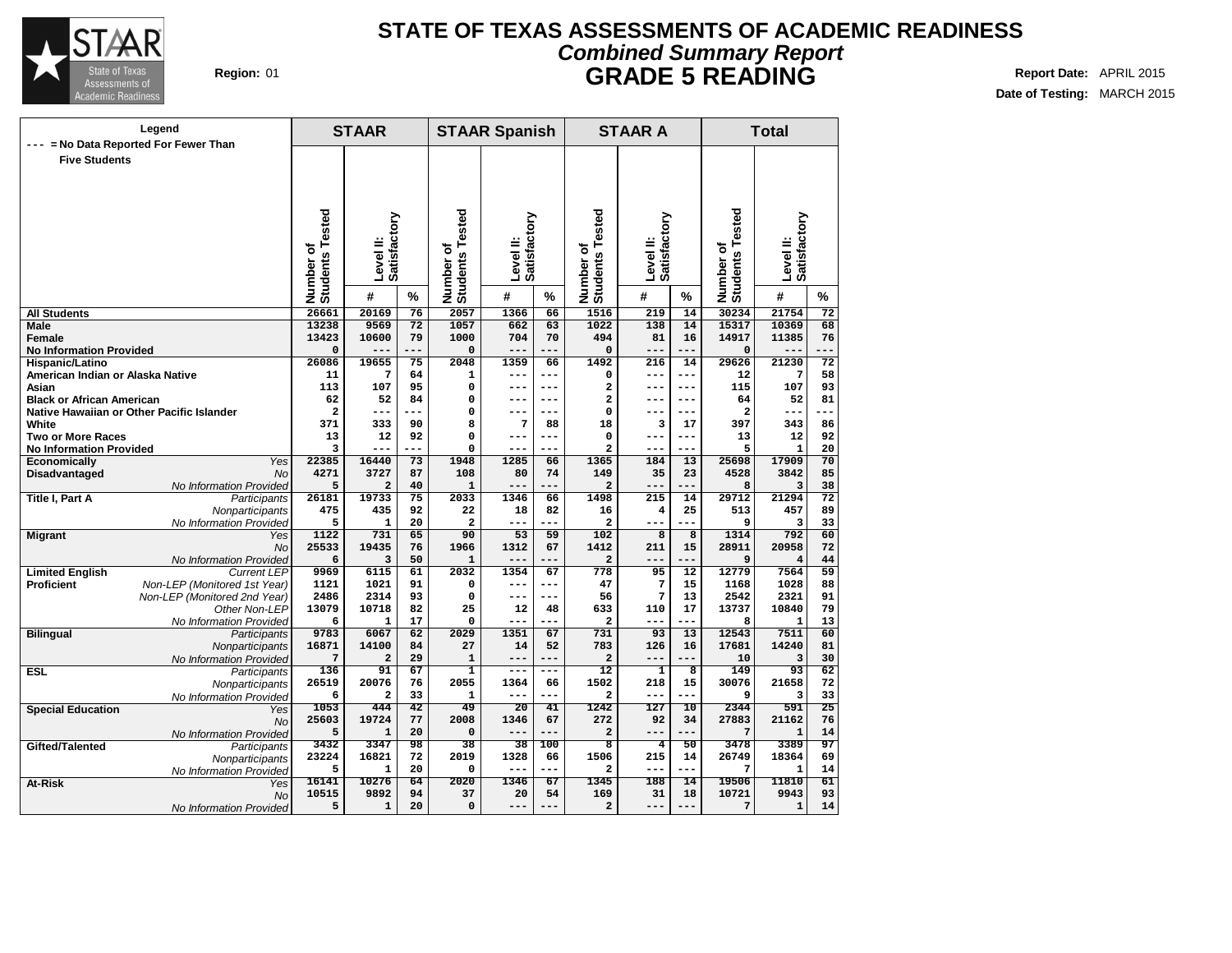

### **Region:** 01 **Report Date:** APRIL 2015 **REPORTER APRIL 2016 REPORTER APRIL 2016 STATE OF TEXAS ASSESSMENTS OF ACADEMIC READINESS Combined Summary Report GRADE 5 READING**

**Date of Testing:** MARCH 2015

|                                      | Legend                                                       |                              | <b>STAAR</b>   |          |                       | <b>STAAR Spanish</b> |                 |                                 | <b>STAAR A</b>          |                 |                              | <b>Total</b>          |                 |
|--------------------------------------|--------------------------------------------------------------|------------------------------|----------------|----------|-----------------------|----------------------|-----------------|---------------------------------|-------------------------|-----------------|------------------------------|-----------------------|-----------------|
| ---                                  | = No Data Reported For Fewer Than                            |                              |                |          |                       |                      |                 |                                 |                         |                 |                              |                       |                 |
| <b>Five Students</b>                 |                                                              |                              |                |          |                       |                      |                 |                                 |                         |                 |                              |                       |                 |
|                                      |                                                              |                              |                |          |                       |                      |                 |                                 |                         |                 |                              |                       |                 |
|                                      |                                                              |                              |                |          |                       |                      |                 |                                 |                         |                 |                              |                       |                 |
|                                      |                                                              |                              |                |          |                       |                      |                 |                                 |                         |                 |                              |                       |                 |
|                                      |                                                              | Number of<br>Students Tested |                |          | ested                 |                      |                 | ested                           |                         |                 | Number of<br>Students Tested |                       |                 |
|                                      |                                                              |                              | Satisfactory   |          |                       | Satisfactory         |                 |                                 | Satisfactory            |                 |                              | Satisfactory          |                 |
|                                      |                                                              |                              | Level II:      |          | ۴<br>৳                | Level II:            |                 | Number of<br>Students Te        | Level II:               |                 |                              | Level II:             |                 |
|                                      |                                                              |                              |                |          |                       |                      |                 |                                 |                         |                 |                              |                       |                 |
|                                      |                                                              |                              |                |          | Number o'<br>Students |                      |                 |                                 |                         |                 |                              |                       |                 |
|                                      |                                                              |                              |                |          |                       |                      |                 |                                 |                         |                 |                              |                       |                 |
|                                      |                                                              |                              | #              | %        |                       | #                    | %               |                                 | #                       | $\%$            |                              | #                     | %               |
| <b>All Students</b>                  |                                                              | 26661                        | 20169          | 76       | 2057                  | 1366                 | 66              | 1516                            | 219                     | 14              | 30234                        | 21754                 | 72              |
| <b>Male</b>                          |                                                              | 13238                        | 9569           | 72       | 1057                  | 662                  | 63              | 1022                            | 138                     | 14              | 15317                        | 10369                 | 68              |
| Female                               |                                                              | 13423                        | 10600          | 79       | 1000                  | 704                  | 70              | 494                             | 81                      | 16              | 14917                        | 11385                 | 76              |
| <b>No Information Provided</b>       |                                                              | 0                            |                |          | $\mathbf 0$           | $- -$                |                 | $\mathbf 0$                     | $- - -$                 | ---             | 0                            |                       |                 |
| Hispanic/Latino                      |                                                              | 26086                        | 19655          | 75       | 2048                  | 1359                 | 66              | 1492                            | 216                     | 14              | 29626                        | 21230                 | 72              |
| American Indian or Alaska Native     |                                                              | 11                           | 7              | 64       | $\mathbf{1}$          | ---                  | ---             | 0                               | ---                     | ---             | 12                           | 7                     | 58              |
| Asian                                |                                                              | 113<br>62                    | 107<br>52      | 95<br>84 | 0<br>$\mathbf 0$      | $---$<br>$---$       | ---<br>---      | 2<br>2                          | $---$<br>$---$          | $---$<br>$---$  | 115<br>64                    | 107<br>52             | 93<br>81        |
| <b>Black or African American</b>     |                                                              | $\overline{a}$               | $---$          | ---      | 0                     | ---                  | ---             | 0                               | ---                     | ---             | 2                            | ---                   | ---             |
| White                                | Native Hawaiian or Other Pacific Islander                    | 371                          | 333            | 90       | 8                     | 7                    | 88              | 18                              | 3                       | 17              | 397                          | 343                   | 86              |
| <b>Two or More Races</b>             |                                                              | 13                           | 12             | 92       | $\Omega$              | $- - -$              | ---             | $\Omega$                        | $---$                   | $---$           | 13                           | 12                    | 92              |
| <b>No Information Provided</b>       |                                                              | 3                            | $---$          | ---      | 0                     | ---                  | ---             | $\overline{a}$                  | ---                     | ---             | 5                            | $\mathbf{1}$          | 20              |
| Economically                         | Yes                                                          | 22385                        | 16440          | 73       | 1948                  | 1285                 | 66              | 1365                            | 184                     | 13              | 25698                        | 17909                 | 70              |
| Disadvantaged                        | <b>No</b>                                                    | 4271                         | 3727           | 87       | 108                   | 80                   | 74              | 149                             | 35                      | 23              | 4528                         | 3842                  | 85              |
|                                      | No Information Provided                                      | 5                            | $\overline{a}$ | 40       | $\mathbf{1}$          | ---                  | ---             | $\mathbf{2}$                    | $---$                   | ---             | 8                            | 3                     | 38              |
| Title I, Part A                      | Participants                                                 | 26181                        | 19733          | 75       | 2033                  | 1346                 | 66              | 1498                            | 215                     | 14              | 29712                        | 21294                 | $\overline{72}$ |
|                                      | Nonparticipants                                              | 475                          | 435            | 92       | 22                    | 18                   | 82              | 16                              | $\overline{\mathbf{4}}$ | 25              | 513                          | 457                   | 89              |
|                                      | No Information Provided                                      | 5                            | $\mathbf{1}$   | 20       | $\overline{a}$        | ---                  | ---             | $\overline{a}$                  | $- - -$                 | ---             | 9                            | 3                     | 33              |
| <b>Migrant</b>                       | Yes                                                          | 1122                         | 731            | 65       | 90                    | 53                   | 59              | 102                             | $\overline{8}$          | $\overline{8}$  | 1314                         | 792                   | 60              |
|                                      | <b>No</b>                                                    | 25533                        | 19435          | 76       | 1966                  | 1312                 | 67              | 1412                            | 211                     | 15              | 28911                        | 20958                 | 72              |
|                                      | No Information Provided                                      | 6                            | 3              | 50       | $\mathbf{1}$          | $---$                | ---             | $\overline{a}$                  | ---                     | ---             | 9                            | $\overline{4}$        | 44              |
| <b>Limited English</b><br>Proficient | Current LEP                                                  | 9969                         | 6115<br>1021   | 61<br>91 | 2032<br>0             | 1354<br>$---$        | 67<br>---       | 778<br>47                       | 95                      | 12<br>15        | 12779                        | 7564                  | 59<br>88        |
|                                      | Non-LEP (Monitored 1st Year)<br>Non-LEP (Monitored 2nd Year) | 1121<br>2486                 | 2314           | 93       | 0                     | $---$                | ---             | 56                              | 7<br>7                  | 13              | 1168<br>2542                 | 1028<br>2321          | 91              |
|                                      | Other Non-LEP                                                | 13079                        | 10718          | 82       | 25                    | 12                   | 48              | 633                             | 110                     | 17              | 13737                        | 10840                 | 79              |
|                                      | No Information Provided                                      | 6                            | 1              | 17       | $\Omega$              | ---                  |                 | $\mathbf{z}$                    | $---$                   | ---             | 8                            | $\mathbf{1}$          | 13              |
| <b>Bilingual</b>                     | Participants                                                 | 9783                         | 6067           | 62       | 2029                  | 1351                 | 67              | 731                             | 93                      | $\overline{13}$ | 12543                        | 7511                  | 60              |
|                                      | Nonparticipants                                              | 16871                        | 14100          | 84       | 27                    | 14                   | 52              | 783                             | 126                     | 16              | 17681                        | 14240                 | 81              |
|                                      | No Information Provided                                      | 7                            | 2              | 29       | 1                     | $---$                | ---             | $\overline{a}$                  | $---$                   | ---             | 10                           | 3                     | 30              |
| <b>ESL</b>                           | Participants                                                 | 136                          | 91             | 67       | 1                     | $---$                | ---             | $\overline{12}$                 | $\overline{\mathbf{1}}$ | 8               | 149                          | 93                    | 62              |
|                                      | Nonparticipants                                              | 26519                        | 20076          | 76       | 2055                  | 1364                 | 66              | 1502                            | 218                     | 15              | 30076                        | 21658                 | 72              |
|                                      | No Information Provided                                      | 6                            | 2              | 33       | $\mathbf{1}$          | ---                  |                 | $\overline{\mathbf{2}}$         | ---                     |                 | 9                            | з                     | 33              |
| <b>Special Education</b>             | Yes                                                          | 1053                         | 444            | 42       | 49                    | 20                   | 41              | 1242                            | 127                     | 10              | 2344                         | 591                   | 25              |
|                                      | <b>No</b>                                                    | 25603                        | 19724          | 77       | 2008                  | 1346                 | 67              | 272                             | 92                      | 34              | 27883                        | 21162                 | 76              |
|                                      | No Information Provided                                      | 5                            | $\mathbf{1}$   | 20       | $\Omega$              | ---                  | ---             | $\overline{a}$                  | ---                     | ---             | 7                            | $\mathbf{1}$          | 14              |
| Gifted/Talented                      | Participants                                                 | 3432                         | 3347           | 98<br>72 | 38<br>2019            | 38                   | 100             | $\overline{\mathbf{8}}$<br>1506 | $\overline{4}$<br>215   | 50              | 3478                         | 3389                  | 97<br>69        |
|                                      | Nonparticipants                                              | 23224<br>5                   | 16821<br>1     | 20       | 0                     | 1328<br>$---$        | 66<br>---       | $\overline{a}$                  | ---                     | 14<br>---       | 26749<br>7                   | 18364<br>$\mathbf{1}$ | 14              |
| At-Risk                              | No Information Provided                                      | 16141                        | 10276          | 64       | 2020                  | 1346                 | $\overline{67}$ | 1345                            | 188                     | 14              | 19506                        | 11810                 | 61              |
|                                      | Yes<br><b>No</b>                                             | 10515                        | 9892           | 94       | 37                    | 20                   | 54              | 169                             | 31                      | 18              | 10721                        | 9943                  | 93              |
|                                      | No Information Provided                                      | 5                            | 1              | 20       | $\mathbf 0$           | ---                  | ---             | $\mathbf{2}$                    | ---                     | ---             | 7                            | $\mathbf{1}$          | 14              |
|                                      |                                                              |                              |                |          |                       |                      |                 |                                 |                         |                 |                              |                       |                 |